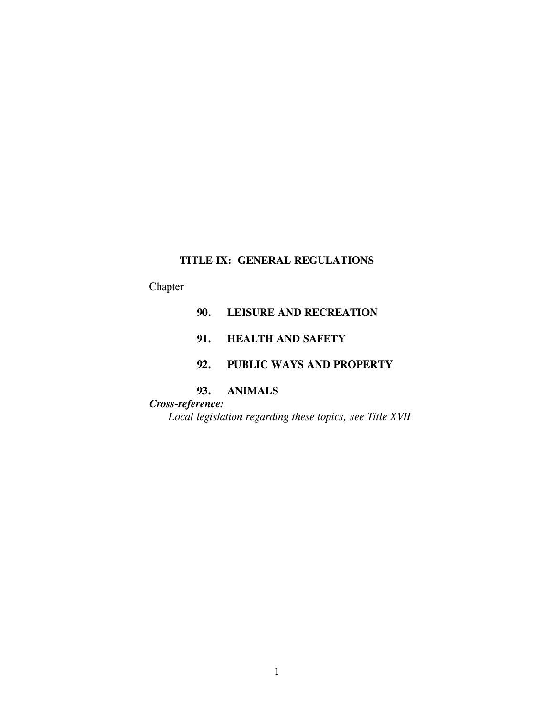# **TITLE IX: GENERAL REGULATIONS**

# Chapter

# **90. LEISURE AND RECREATION**

# **91. HEALTH AND SAFETY**

# **92. PUBLIC WAYS AND PROPERTY**

# **93. ANIMALS**

# *Cross-reference: Local legislation regarding these topics, see Title XVII*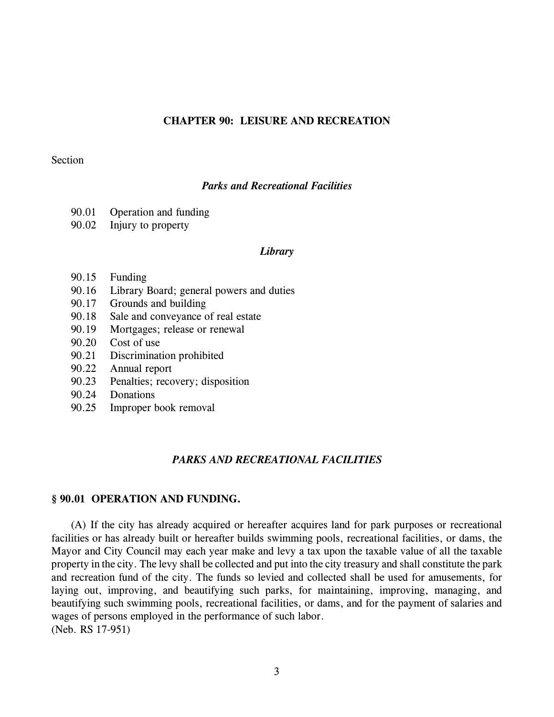### **CHAPTER 90: LEISURE AND RECREATION**

#### Section

### *Parks and Recreational Facilities*

- 90.01 Operation and funding
- 90.02 Injury to property

#### *Library*

- 90.15 Funding
- 90.16 Library Board; general powers and duties
- 90.17 Grounds and building
- 90.18 Sale and conveyance of real estate
- 90.19 Mortgages; release or renewal
- 90.20 Cost of use
- 90.21 Discrimination prohibited
- 90.22 Annual report
- 90.23 Penalties; recovery; disposition
- 90.24 Donations
- 90.25 Improper book removal

### *PARKS AND RECREATIONAL FACILITIES*

### **§ 90.01 OPERATION AND FUNDING.**

(A) If the city has already acquired or hereafter acquires land for park purposes or recreational facilities or has already built or hereafter builds swimming pools, recreational facilities, or dams, the Mayor and City Council may each year make and levy a tax upon the taxable value of all the taxable property in the city. The levy shall be collected and put into the city treasury and shall constitute the park and recreation fund of the city. The funds so levied and collected shall be used for amusements, for laying out, improving, and beautifying such parks, for maintaining, improving, managing, and beautifying such swimming pools, recreational facilities, or dams, and for the payment of salaries and wages of persons employed in the performance of such labor. (Neb. RS 17-951)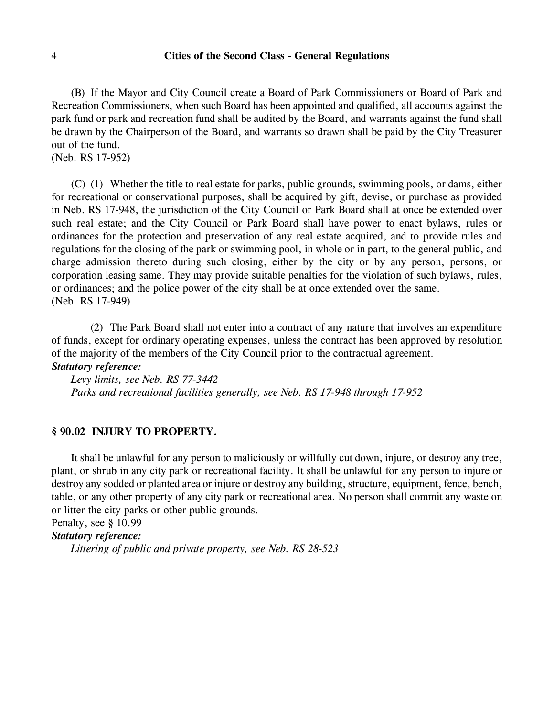(B) If the Mayor and City Council create a Board of Park Commissioners or Board of Park and Recreation Commissioners, when such Board has been appointed and qualified, all accounts against the park fund or park and recreation fund shall be audited by the Board, and warrants against the fund shall be drawn by the Chairperson of the Board, and warrants so drawn shall be paid by the City Treasurer out of the fund.

(Neb. RS 17-952)

(C) (1) Whether the title to real estate for parks, public grounds, swimming pools, or dams, either for recreational or conservational purposes, shall be acquired by gift, devise, or purchase as provided in Neb. RS 17-948, the jurisdiction of the City Council or Park Board shall at once be extended over such real estate; and the City Council or Park Board shall have power to enact bylaws, rules or ordinances for the protection and preservation of any real estate acquired, and to provide rules and regulations for the closing of the park or swimming pool, in whole or in part, to the general public, and charge admission thereto during such closing, either by the city or by any person, persons, or corporation leasing same. They may provide suitable penalties for the violation of such bylaws, rules, or ordinances; and the police power of the city shall be at once extended over the same. (Neb. RS 17-949)

(2) The Park Board shall not enter into a contract of any nature that involves an expenditure of funds, except for ordinary operating expenses, unless the contract has been approved by resolution of the majority of the members of the City Council prior to the contractual agreement. *Statutory reference:*

# *Levy limits, see Neb. RS 77-3442 Parks and recreational facilities generally, see Neb. RS 17-948 through 17-952*

#### **§ 90.02 INJURY TO PROPERTY.**

It shall be unlawful for any person to maliciously or willfully cut down, injure, or destroy any tree, plant, or shrub in any city park or recreational facility. It shall be unlawful for any person to injure or destroy any sodded or planted area or injure or destroy any building, structure, equipment, fence, bench, table, or any other property of any city park or recreational area. No person shall commit any waste on or litter the city parks or other public grounds.

# Penalty, see § 10.99

# *Statutory reference:*

*Littering of public and private property, see Neb. RS 28-523*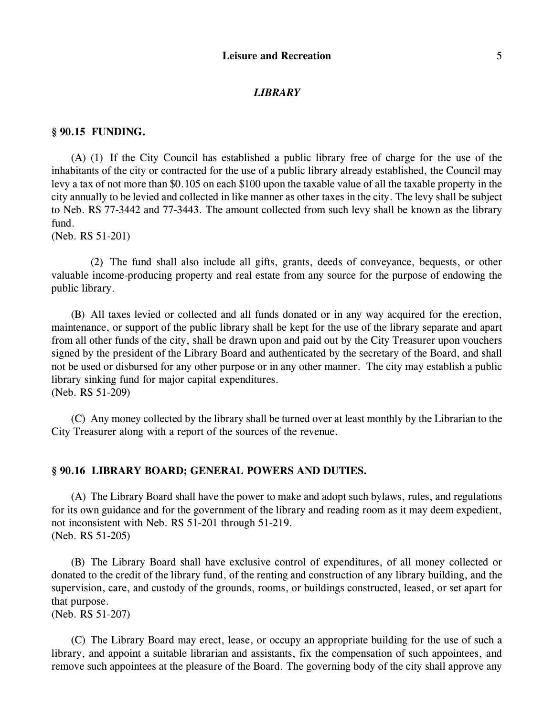#### *LIBRARY*

#### **§ 90.15 FUNDING.**

(A) (1) If the City Council has established a public library free of charge for the use of the inhabitants of the city or contracted for the use of a public library already established, the Council may levy a tax of not more than \$0.105 on each \$100 upon the taxable value of all the taxable property in the city annually to be levied and collected in like manner as other taxes in the city. The levy shall be subject to Neb. RS 77-3442 and 77-3443. The amount collected from such levy shall be known as the library fund.

(Neb. RS 51-201)

(2) The fund shall also include all gifts, grants, deeds of conveyance, bequests, or other valuable income-producing property and real estate from any source for the purpose of endowing the public library.

(B) All taxes levied or collected and all funds donated or in any way acquired for the erection, maintenance, or support of the public library shall be kept for the use of the library separate and apart from all other funds of the city, shall be drawn upon and paid out by the City Treasurer upon vouchers signed by the president of the Library Board and authenticated by the secretary of the Board, and shall not be used or disbursed for any other purpose or in any other manner. The city may establish a public library sinking fund for major capital expenditures.

(Neb. RS 51-209)

(C) Any money collected by the library shall be turned over at least monthly by the Librarian to the City Treasurer along with a report of the sources of the revenue.

#### **§ 90.16 LIBRARY BOARD; GENERAL POWERS AND DUTIES.**

(A) The Library Board shall have the power to make and adopt such bylaws, rules, and regulations for its own guidance and for the government of the library and reading room as it may deem expedient, not inconsistent with Neb. RS 51-201 through 51-219. (Neb. RS 51-205)

(B) The Library Board shall have exclusive control of expenditures, of all money collected or donated to the credit of the library fund, of the renting and construction of any library building, and the supervision, care, and custody of the grounds, rooms, or buildings constructed, leased, or set apart for that purpose.

(Neb. RS 51-207)

(C) The Library Board may erect, lease, or occupy an appropriate building for the use of such a library, and appoint a suitable librarian and assistants, fix the compensation of such appointees, and remove such appointees at the pleasure of the Board. The governing body of the city shall approve any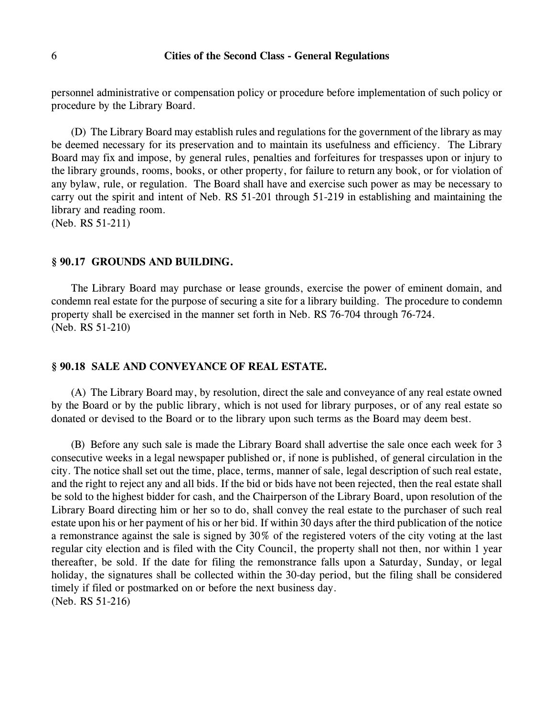personnel administrative or compensation policy or procedure before implementation of such policy or procedure by the Library Board.

(D) The Library Board may establish rules and regulations for the government of the library as may be deemed necessary for its preservation and to maintain its usefulness and efficiency. The Library Board may fix and impose, by general rules, penalties and forfeitures for trespasses upon or injury to the library grounds, rooms, books, or other property, for failure to return any book, or for violation of any bylaw, rule, or regulation. The Board shall have and exercise such power as may be necessary to carry out the spirit and intent of Neb. RS 51-201 through 51-219 in establishing and maintaining the library and reading room.

(Neb. RS 51-211)

### **§ 90.17 GROUNDS AND BUILDING.**

The Library Board may purchase or lease grounds, exercise the power of eminent domain, and condemn real estate for the purpose of securing a site for a library building. The procedure to condemn property shall be exercised in the manner set forth in Neb. RS 76-704 through 76-724. (Neb. RS 51-210)

#### **§ 90.18 SALE AND CONVEYANCE OF REAL ESTATE.**

(A) The Library Board may, by resolution, direct the sale and conveyance of any real estate owned by the Board or by the public library, which is not used for library purposes, or of any real estate so donated or devised to the Board or to the library upon such terms as the Board may deem best.

(B) Before any such sale is made the Library Board shall advertise the sale once each week for 3 consecutive weeks in a legal newspaper published or, if none is published, of general circulation in the city. The notice shall set out the time, place, terms, manner of sale, legal description of such real estate, and the right to reject any and all bids. If the bid or bids have not been rejected, then the real estate shall be sold to the highest bidder for cash, and the Chairperson of the Library Board, upon resolution of the Library Board directing him or her so to do, shall convey the real estate to the purchaser of such real estate upon his or her payment of his or her bid. If within 30 days after the third publication of the notice a remonstrance against the sale is signed by 30% of the registered voters of the city voting at the last regular city election and is filed with the City Council, the property shall not then, nor within 1 year thereafter, be sold. If the date for filing the remonstrance falls upon a Saturday, Sunday, or legal holiday, the signatures shall be collected within the 30-day period, but the filing shall be considered timely if filed or postmarked on or before the next business day. (Neb. RS 51-216)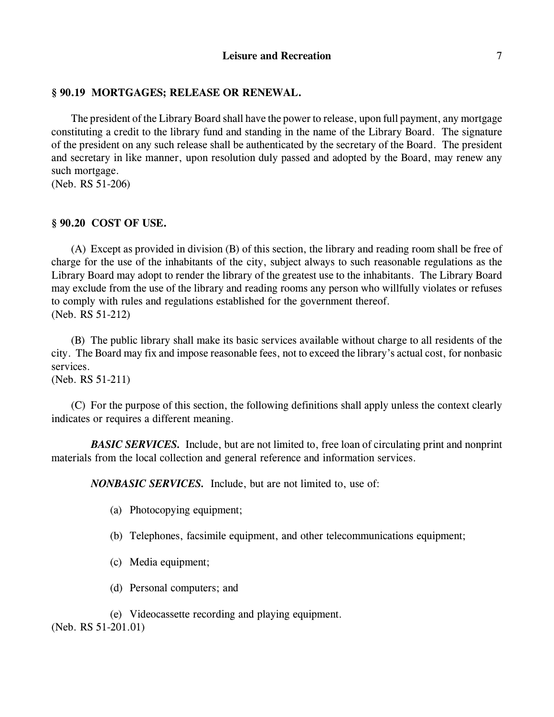# **§ 90.19 MORTGAGES; RELEASE OR RENEWAL.**

The president of the Library Board shall have the powerto release, upon full payment, any mortgage constituting a credit to the library fund and standing in the name of the Library Board. The signature of the president on any such release shall be authenticated by the secretary of the Board. The president and secretary in like manner, upon resolution duly passed and adopted by the Board, may renew any such mortgage.

(Neb. RS 51-206)

# **§ 90.20 COST OF USE.**

(A) Except as provided in division (B) of this section, the library and reading room shall be free of charge for the use of the inhabitants of the city, subject always to such reasonable regulations as the Library Board may adopt to render the library of the greatest use to the inhabitants. The Library Board may exclude from the use of the library and reading rooms any person who willfully violates or refuses to comply with rules and regulations established for the government thereof. (Neb. RS 51-212)

(B) The public library shall make its basic services available without charge to all residents of the city. The Board may fix and impose reasonable fees, not to exceed the library's actual cost, for nonbasic services.

(Neb. RS 51-211)

(C) For the purpose of this section, the following definitions shall apply unless the context clearly indicates or requires a different meaning.

*BASIC SERVICES.* Include, but are not limited to, free loan of circulating print and nonprint materials from the local collection and general reference and information services.

*NONBASIC SERVICES.* Include, but are not limited to, use of:

- (a) Photocopying equipment;
- (b) Telephones, facsimile equipment, and other telecommunications equipment;
- (c) Media equipment;
- (d) Personal computers; and

(e) Videocassette recording and playing equipment.

(Neb. RS 51-201.01)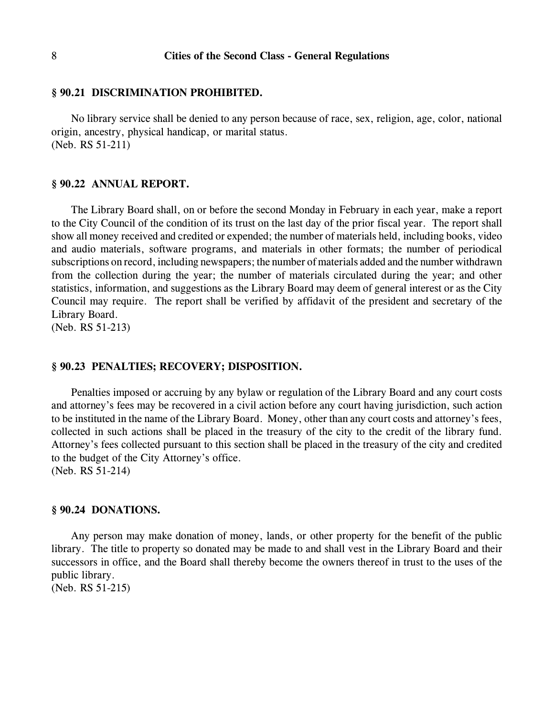#### **§ 90.21 DISCRIMINATION PROHIBITED.**

No library service shall be denied to any person because of race, sex, religion, age, color, national origin, ancestry, physical handicap, or marital status. (Neb. RS 51-211)

### **§ 90.22 ANNUAL REPORT.**

The Library Board shall, on or before the second Monday in February in each year, make a report to the City Council of the condition of its trust on the last day of the prior fiscal year. The report shall show all money received and credited or expended; the number of materials held, including books, video and audio materials, software programs, and materials in other formats; the number of periodical subscriptions on record, including newspapers; the number of materials added and the number withdrawn from the collection during the year; the number of materials circulated during the year; and other statistics, information, and suggestions as the Library Board may deem of general interest or as the City Council may require. The report shall be verified by affidavit of the president and secretary of the Library Board.

(Neb. RS 51-213)

### **§ 90.23 PENALTIES; RECOVERY; DISPOSITION.**

Penalties imposed or accruing by any bylaw or regulation of the Library Board and any court costs and attorney's fees may be recovered in a civil action before any court having jurisdiction, such action to be instituted in the name of the Library Board. Money, other than any court costs and attorney's fees, collected in such actions shall be placed in the treasury of the city to the credit of the library fund. Attorney's fees collected pursuant to this section shall be placed in the treasury of the city and credited to the budget of the City Attorney's office.

(Neb. RS 51-214)

#### **§ 90.24 DONATIONS.**

Any person may make donation of money, lands, or other property for the benefit of the public library. The title to property so donated may be made to and shall vest in the Library Board and their successors in office, and the Board shall thereby become the owners thereof in trust to the uses of the public library.

(Neb. RS 51-215)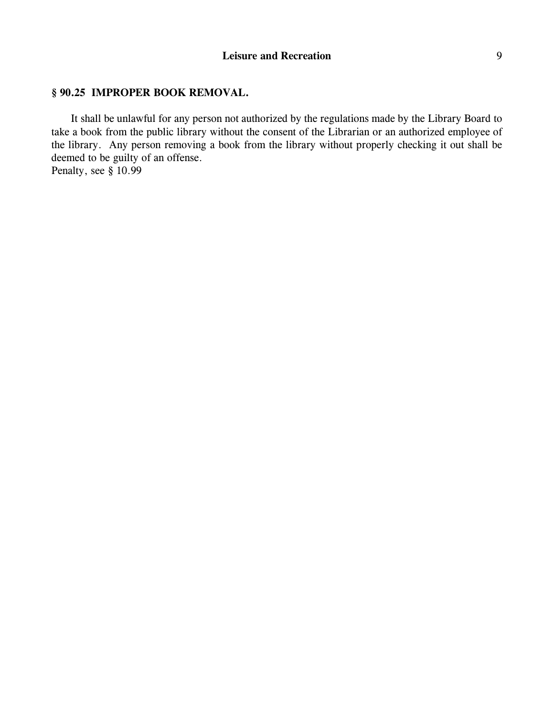# **§ 90.25 IMPROPER BOOK REMOVAL.**

It shall be unlawful for any person not authorized by the regulations made by the Library Board to take a book from the public library without the consent of the Librarian or an authorized employee of the library. Any person removing a book from the library without properly checking it out shall be deemed to be guilty of an offense.

Penalty, see § 10.99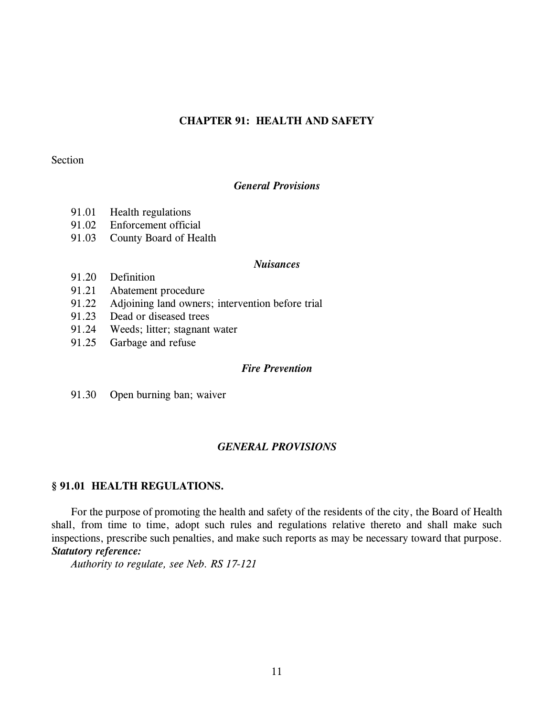### **CHAPTER 91: HEALTH AND SAFETY**

# Section

### *General Provisions*

- 91.01 Health regulations
- 91.02 Enforcement official
- 91.03 County Board of Health

### *Nuisances*

- 91.20 Definition
- 91.21 Abatement procedure
- 91.22 Adjoining land owners; intervention before trial
- 91.23 Dead or diseased trees
- 91.24 Weeds; litter; stagnant water
- 91.25 Garbage and refuse

### *Fire Prevention*

91.30 Open burning ban; waiver

# *GENERAL PROVISIONS*

# **§ 91.01 HEALTH REGULATIONS.**

For the purpose of promoting the health and safety of the residents of the city, the Board of Health shall, from time to time, adopt such rules and regulations relative thereto and shall make such inspections, prescribe such penalties, and make such reports as may be necessary toward that purpose. *Statutory reference:*

*Authority to regulate, see Neb. RS 17-121*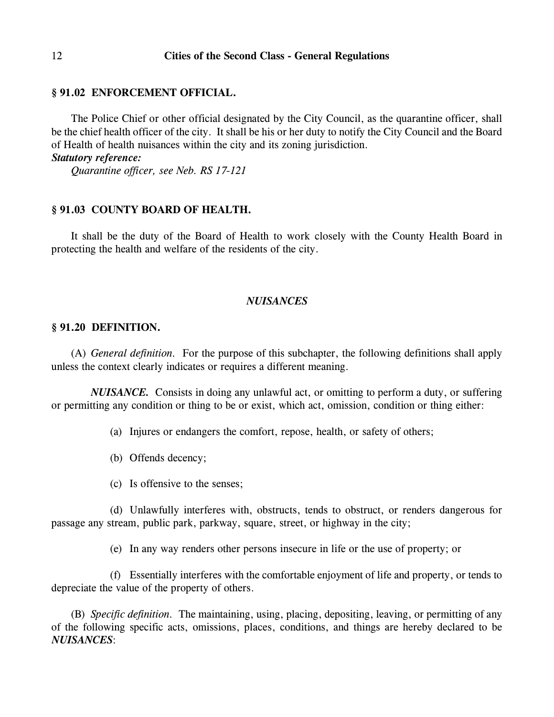#### **§ 91.02 ENFORCEMENT OFFICIAL.**

The Police Chief or other official designated by the City Council, as the quarantine officer, shall be the chief health officer of the city. It shall be his or her duty to notify the City Council and the Board of Health of health nuisances within the city and its zoning jurisdiction.

### *Statutory reference:*

*Quarantine officer, see Neb. RS 17-121*

### **§ 91.03 COUNTY BOARD OF HEALTH.**

It shall be the duty of the Board of Health to work closely with the County Health Board in protecting the health and welfare of the residents of the city.

#### *NUISANCES*

### **§ 91.20 DEFINITION.**

(A) *General definition.* For the purpose of this subchapter, the following definitions shall apply unless the context clearly indicates or requires a different meaning.

*NUISANCE.* Consists in doing any unlawful act, or omitting to perform a duty, or suffering or permitting any condition or thing to be or exist, which act, omission, condition or thing either:

(a) Injures or endangers the comfort, repose, health, or safety of others;

- (b) Offends decency;
- (c) Is offensive to the senses;

(d) Unlawfully interferes with, obstructs, tends to obstruct, or renders dangerous for passage any stream, public park, parkway, square, street, or highway in the city;

(e) In any way renders other persons insecure in life or the use of property; or

(f) Essentially interferes with the comfortable enjoyment of life and property, or tends to depreciate the value of the property of others.

(B) *Specific definition.* The maintaining, using, placing, depositing, leaving, or permitting of any of the following specific acts, omissions, places, conditions, and things are hereby declared to be *NUISANCES*: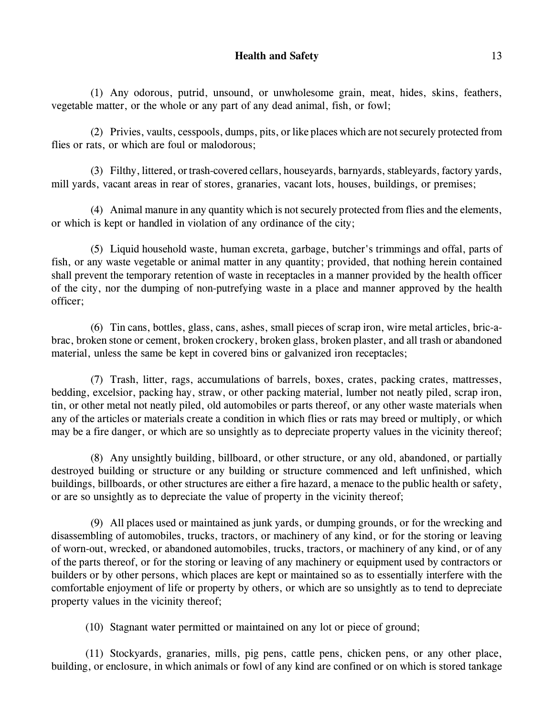# **Health and Safety** 13

(1) Any odorous, putrid, unsound, or unwholesome grain, meat, hides, skins, feathers, vegetable matter, or the whole or any part of any dead animal, fish, or fowl;

(2) Privies, vaults, cesspools, dumps, pits, or like places which are not securely protected from flies or rats, or which are foul or malodorous;

(3) Filthy, littered, or trash-covered cellars, houseyards, barnyards, stableyards, factory yards, mill yards, vacant areas in rear of stores, granaries, vacant lots, houses, buildings, or premises;

(4) Animal manure in any quantity which is not securely protected from flies and the elements, or which is kept or handled in violation of any ordinance of the city;

(5) Liquid household waste, human excreta, garbage, butcher's trimmings and offal, parts of fish, or any waste vegetable or animal matter in any quantity; provided, that nothing herein contained shall prevent the temporary retention of waste in receptacles in a manner provided by the health officer of the city, nor the dumping of non-putrefying waste in a place and manner approved by the health officer;

(6) Tin cans, bottles, glass, cans, ashes, small pieces of scrap iron, wire metal articles, bric-abrac, broken stone or cement, broken crockery, broken glass, broken plaster, and all trash or abandoned material, unless the same be kept in covered bins or galvanized iron receptacles;

(7) Trash, litter, rags, accumulations of barrels, boxes, crates, packing crates, mattresses, bedding, excelsior, packing hay, straw, or other packing material, lumber not neatly piled, scrap iron, tin, or other metal not neatly piled, old automobiles or parts thereof, or any other waste materials when any of the articles or materials create a condition in which flies or rats may breed or multiply, or which may be a fire danger, or which are so unsightly as to depreciate property values in the vicinity thereof;

(8) Any unsightly building, billboard, or other structure, or any old, abandoned, or partially destroyed building or structure or any building or structure commenced and left unfinished, which buildings, billboards, or other structures are either a fire hazard, a menace to the public health or safety, or are so unsightly as to depreciate the value of property in the vicinity thereof;

(9) All places used or maintained as junk yards, or dumping grounds, or for the wrecking and disassembling of automobiles, trucks, tractors, or machinery of any kind, or for the storing or leaving of worn-out, wrecked, or abandoned automobiles, trucks, tractors, or machinery of any kind, or of any of the parts thereof, or for the storing or leaving of any machinery or equipment used by contractors or builders or by other persons, which places are kept or maintained so as to essentially interfere with the comfortable enjoyment of life or property by others, or which are so unsightly as to tend to depreciate property values in the vicinity thereof;

(10) Stagnant water permitted or maintained on any lot or piece of ground;

(11) Stockyards, granaries, mills, pig pens, cattle pens, chicken pens, or any other place, building, or enclosure, in which animals or fowl of any kind are confined or on which is stored tankage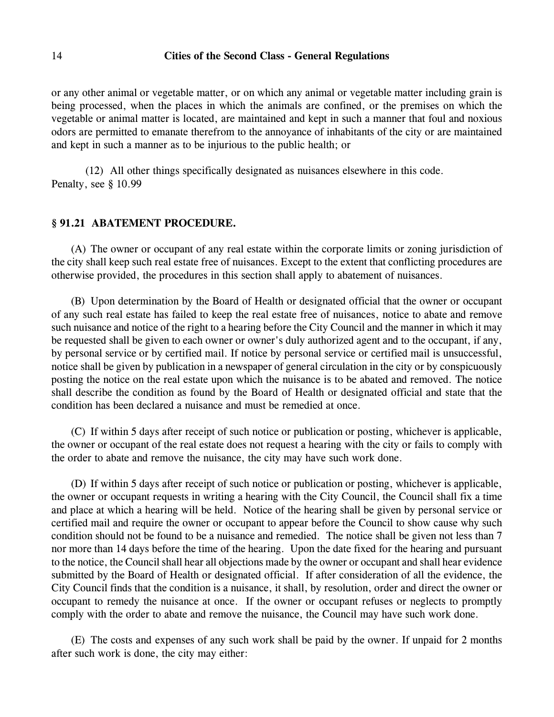or any other animal or vegetable matter, or on which any animal or vegetable matter including grain is being processed, when the places in which the animals are confined, or the premises on which the vegetable or animal matter is located, are maintained and kept in such a manner that foul and noxious odors are permitted to emanate therefrom to the annoyance of inhabitants of the city or are maintained and kept in such a manner as to be injurious to the public health; or

(12) All other things specifically designated as nuisances elsewhere in this code. Penalty, see § 10.99

#### **§ 91.21 ABATEMENT PROCEDURE.**

(A) The owner or occupant of any real estate within the corporate limits or zoning jurisdiction of the city shall keep such real estate free of nuisances. Except to the extent that conflicting procedures are otherwise provided, the procedures in this section shall apply to abatement of nuisances.

(B) Upon determination by the Board of Health or designated official that the owner or occupant of any such real estate has failed to keep the real estate free of nuisances, notice to abate and remove such nuisance and notice of the right to a hearing before the City Council and the manner in which it may be requested shall be given to each owner or owner's duly authorized agent and to the occupant, if any, by personal service or by certified mail. If notice by personal service or certified mail is unsuccessful, notice shall be given by publication in a newspaper of general circulation in the city or by conspicuously posting the notice on the real estate upon which the nuisance is to be abated and removed. The notice shall describe the condition as found by the Board of Health or designated official and state that the condition has been declared a nuisance and must be remedied at once.

(C) If within 5 days after receipt of such notice or publication or posting, whichever is applicable, the owner or occupant of the real estate does not request a hearing with the city or fails to comply with the order to abate and remove the nuisance, the city may have such work done.

(D) If within 5 days after receipt of such notice or publication or posting, whichever is applicable, the owner or occupant requests in writing a hearing with the City Council, the Council shall fix a time and place at which a hearing will be held. Notice of the hearing shall be given by personal service or certified mail and require the owner or occupant to appear before the Council to show cause why such condition should not be found to be a nuisance and remedied. The notice shall be given not less than 7 nor more than 14 days before the time of the hearing. Upon the date fixed for the hearing and pursuant to the notice, the Council shall hear all objections made by the owner or occupant and shall hear evidence submitted by the Board of Health or designated official. If after consideration of all the evidence, the City Council finds that the condition is a nuisance, it shall, by resolution, order and direct the owner or occupant to remedy the nuisance at once. If the owner or occupant refuses or neglects to promptly comply with the order to abate and remove the nuisance, the Council may have such work done.

(E) The costs and expenses of any such work shall be paid by the owner. If unpaid for 2 months after such work is done, the city may either: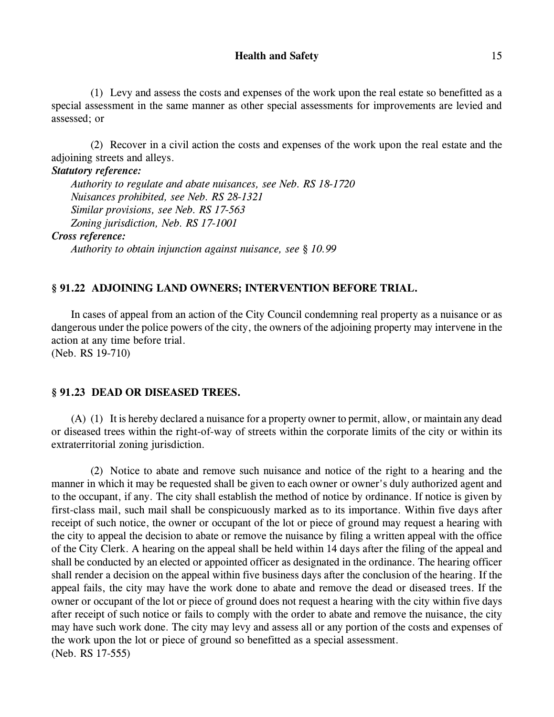### **Health and Safety** 15

(1) Levy and assess the costs and expenses of the work upon the real estate so benefitted as a special assessment in the same manner as other special assessments for improvements are levied and assessed; or

(2) Recover in a civil action the costs and expenses of the work upon the real estate and the adjoining streets and alleys.

### *Statutory reference:*

*Authority to regulate and abate nuisances, see Neb. RS 18-1720 Nuisances prohibited, see Neb. RS 28-1321 Similar provisions, see Neb. RS 17-563 Zoning jurisdiction, Neb. RS 17-1001*

# *Cross reference:*

*Authority to obtain injunction against nuisance, see § 10.99*

# **§ 91.22 ADJOINING LAND OWNERS; INTERVENTION BEFORE TRIAL.**

In cases of appeal from an action of the City Council condemning real property as a nuisance or as dangerous under the police powers of the city, the owners of the adjoining property may intervene in the action at any time before trial.

(Neb. RS 19-710)

# **§ 91.23 DEAD OR DISEASED TREES.**

(A) (1) It is hereby declared a nuisance for a property owner to permit, allow, or maintain any dead or diseased trees within the right-of-way of streets within the corporate limits of the city or within its extraterritorial zoning jurisdiction.

(2) Notice to abate and remove such nuisance and notice of the right to a hearing and the manner in which it may be requested shall be given to each owner or owner's duly authorized agent and to the occupant, if any. The city shall establish the method of notice by ordinance. If notice is given by first-class mail, such mail shall be conspicuously marked as to its importance. Within five days after receipt of such notice, the owner or occupant of the lot or piece of ground may request a hearing with the city to appeal the decision to abate or remove the nuisance by filing a written appeal with the office of the City Clerk. A hearing on the appeal shall be held within 14 days after the filing of the appeal and shall be conducted by an elected or appointed officer as designated in the ordinance. The hearing officer shall render a decision on the appeal within five business days after the conclusion of the hearing. If the appeal fails, the city may have the work done to abate and remove the dead or diseased trees. If the owner or occupant of the lot or piece of ground does not request a hearing with the city within five days after receipt of such notice or fails to comply with the order to abate and remove the nuisance, the city may have such work done. The city may levy and assess all or any portion of the costs and expenses of the work upon the lot or piece of ground so benefitted as a special assessment. (Neb. RS 17-555)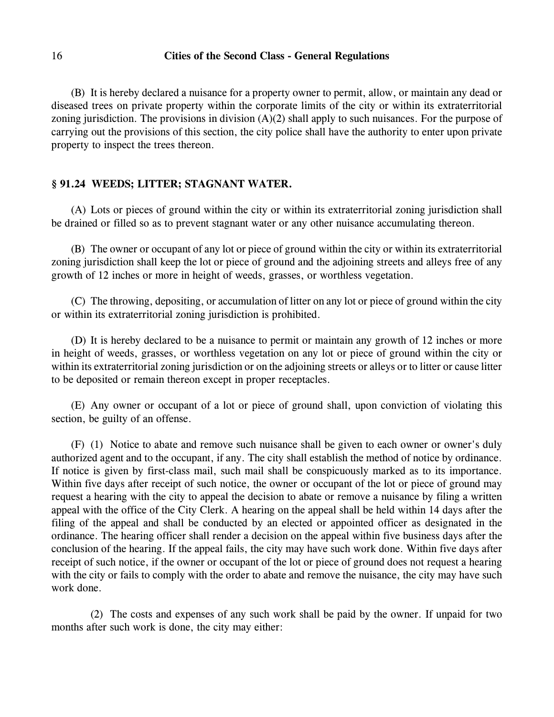(B) It is hereby declared a nuisance for a property owner to permit, allow, or maintain any dead or diseased trees on private property within the corporate limits of the city or within its extraterritorial zoning jurisdiction. The provisions in division  $(A)(2)$  shall apply to such nuisances. For the purpose of carrying out the provisions of this section, the city police shall have the authority to enter upon private property to inspect the trees thereon.

### **§ 91.24 WEEDS; LITTER; STAGNANT WATER.**

(A) Lots or pieces of ground within the city or within its extraterritorial zoning jurisdiction shall be drained or filled so as to prevent stagnant water or any other nuisance accumulating thereon.

(B) The owner or occupant of any lot or piece of ground within the city or within its extraterritorial zoning jurisdiction shall keep the lot or piece of ground and the adjoining streets and alleys free of any growth of 12 inches or more in height of weeds, grasses, or worthless vegetation.

(C) The throwing, depositing, or accumulation of litter on any lot or piece of ground within the city or within its extraterritorial zoning jurisdiction is prohibited.

(D) It is hereby declared to be a nuisance to permit or maintain any growth of 12 inches or more in height of weeds, grasses, or worthless vegetation on any lot or piece of ground within the city or within its extraterritorial zoning jurisdiction or on the adjoining streets or alleys or to litter or cause litter to be deposited or remain thereon except in proper receptacles.

(E) Any owner or occupant of a lot or piece of ground shall, upon conviction of violating this section, be guilty of an offense.

(F) (1) Notice to abate and remove such nuisance shall be given to each owner or owner's duly authorized agent and to the occupant, if any. The city shall establish the method of notice by ordinance. If notice is given by first-class mail, such mail shall be conspicuously marked as to its importance. Within five days after receipt of such notice, the owner or occupant of the lot or piece of ground may request a hearing with the city to appeal the decision to abate or remove a nuisance by filing a written appeal with the office of the City Clerk. A hearing on the appeal shall be held within 14 days after the filing of the appeal and shall be conducted by an elected or appointed officer as designated in the ordinance. The hearing officer shall render a decision on the appeal within five business days after the conclusion of the hearing. If the appeal fails, the city may have such work done. Within five days after receipt of such notice, if the owner or occupant of the lot or piece of ground does not request a hearing with the city or fails to comply with the order to abate and remove the nuisance, the city may have such work done.

(2) The costs and expenses of any such work shall be paid by the owner. If unpaid for two months after such work is done, the city may either: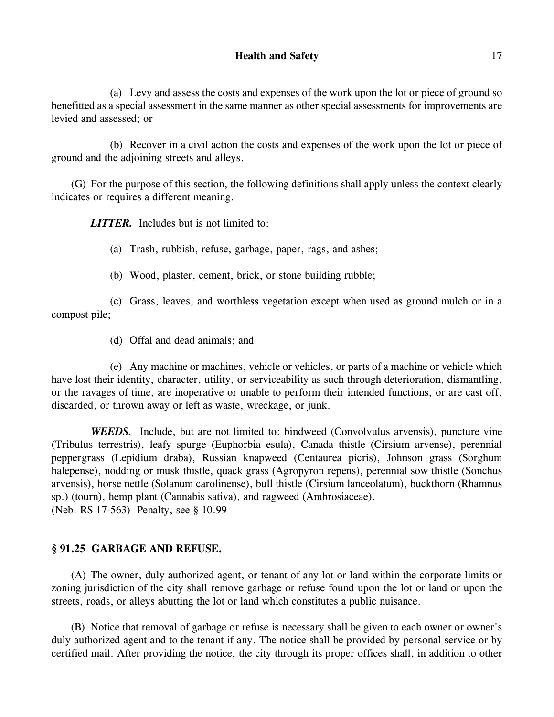(a) Levy and assess the costs and expenses of the work upon the lot or piece of ground so benefitted as a special assessment in the same manner as other special assessments for improvements are levied and assessed; or

(b) Recover in a civil action the costs and expenses of the work upon the lot or piece of ground and the adjoining streets and alleys.

(G) For the purpose of this section, the following definitions shall apply unless the context clearly indicates or requires a different meaning.

*LITTER.* Includes but is not limited to:

(a) Trash, rubbish, refuse, garbage, paper, rags, and ashes;

(b) Wood, plaster, cement, brick, or stone building rubble;

(c) Grass, leaves, and worthless vegetation except when used as ground mulch or in a compost pile;

(d) Offal and dead animals; and

(e) Any machine or machines, vehicle or vehicles, or parts of a machine or vehicle which have lost their identity, character, utility, or serviceability as such through deterioration, dismantling, or the ravages of time, are inoperative or unable to perform their intended functions, or are cast off, discarded, or thrown away or left as waste, wreckage, or junk.

*WEEDS.* Include, but are not limited to: bindweed (Convolvulus arvensis), puncture vine (Tribulus terrestris), leafy spurge (Euphorbia esula), Canada thistle (Cirsium arvense), perennial peppergrass (Lepidium draba), Russian knapweed (Centaurea picris), Johnson grass (Sorghum halepense), nodding or musk thistle, quack grass (Agropyron repens), perennial sow thistle (Sonchus arvensis), horse nettle (Solanum carolinense), bull thistle (Cirsium lanceolatum), buckthorn (Rhamnus sp.) (tourn), hemp plant (Cannabis sativa), and ragweed (Ambrosiaceae). (Neb. RS 17-563) Penalty, see § 10.99

# **§ 91.25 GARBAGE AND REFUSE.**

(A) The owner, duly authorized agent, or tenant of any lot or land within the corporate limits or zoning jurisdiction of the city shall remove garbage or refuse found upon the lot or land or upon the streets, roads, or alleys abutting the lot or land which constitutes a public nuisance.

(B) Notice that removal of garbage or refuse is necessary shall be given to each owner or owner's duly authorized agent and to the tenant if any. The notice shall be provided by personal service or by certified mail. After providing the notice, the city through its proper offices shall, in addition to other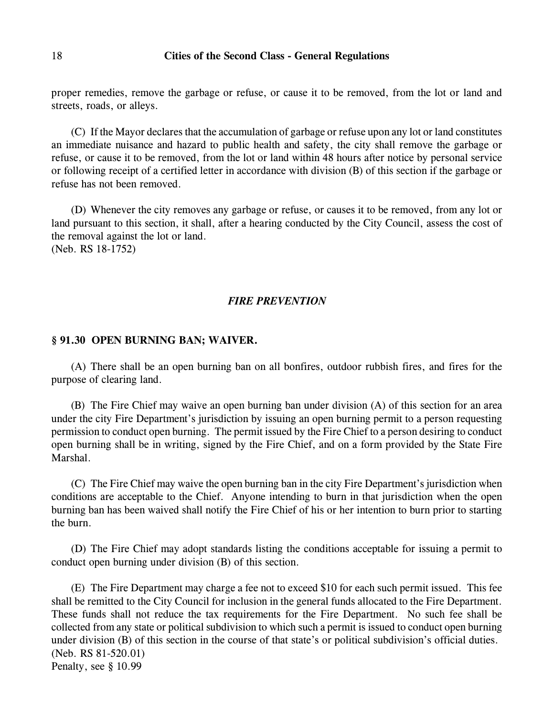proper remedies, remove the garbage or refuse, or cause it to be removed, from the lot or land and streets, roads, or alleys.

(C) If the Mayor declares that the accumulation of garbage or refuse upon any lot or land constitutes an immediate nuisance and hazard to public health and safety, the city shall remove the garbage or refuse, or cause it to be removed, from the lot or land within 48 hours after notice by personal service or following receipt of a certified letter in accordance with division (B) of this section if the garbage or refuse has not been removed.

(D) Whenever the city removes any garbage or refuse, or causes it to be removed, from any lot or land pursuant to this section, it shall, after a hearing conducted by the City Council, assess the cost of the removal against the lot or land. (Neb. RS 18-1752)

*FIRE PREVENTION*

### **§ 91.30 OPEN BURNING BAN; WAIVER.**

(A) There shall be an open burning ban on all bonfires, outdoor rubbish fires, and fires for the purpose of clearing land.

(B) The Fire Chief may waive an open burning ban under division (A) of this section for an area under the city Fire Department's jurisdiction by issuing an open burning permit to a person requesting permission to conduct open burning. The permit issued by the Fire Chief to a person desiring to conduct open burning shall be in writing, signed by the Fire Chief, and on a form provided by the State Fire Marshal.

(C) The Fire Chief may waive the open burning ban in the city Fire Department's jurisdiction when conditions are acceptable to the Chief. Anyone intending to burn in that jurisdiction when the open burning ban has been waived shall notify the Fire Chief of his or her intention to burn prior to starting the burn.

(D) The Fire Chief may adopt standards listing the conditions acceptable for issuing a permit to conduct open burning under division (B) of this section.

(E) The Fire Department may charge a fee not to exceed \$10 for each such permit issued. This fee shall be remitted to the City Council for inclusion in the general funds allocated to the Fire Department. These funds shall not reduce the tax requirements for the Fire Department. No such fee shall be collected from any state or political subdivision to which such a permit is issued to conduct open burning under division (B) of this section in the course of that state's or political subdivision's official duties. (Neb. RS 81-520.01) Penalty, see § 10.99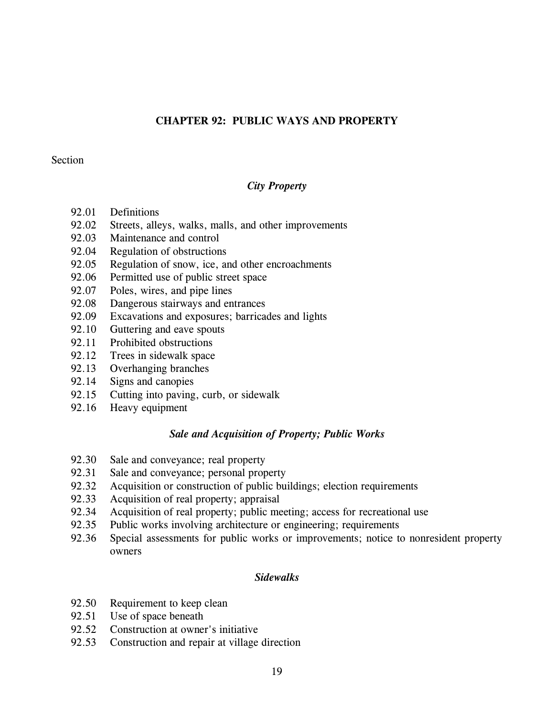# **CHAPTER 92: PUBLIC WAYS AND PROPERTY**

### Section

# *City Property*

- 92.01 Definitions
- 92.02 Streets, alleys, walks, malls, and other improvements
- 92.03 Maintenance and control
- 92.04 Regulation of obstructions
- 92.05 Regulation of snow, ice, and other encroachments
- 92.06 Permitted use of public street space
- 92.07 Poles, wires, and pipe lines
- 92.08 Dangerous stairways and entrances
- 92.09 Excavations and exposures; barricades and lights
- 92.10 Guttering and eave spouts
- 92.11 Prohibited obstructions
- 92.12 Trees in sidewalk space
- 92.13 Overhanging branches
- 92.14 Signs and canopies
- 92.15 Cutting into paving, curb, or sidewalk
- 92.16 Heavy equipment

### *Sale and Acquisition of Property; Public Works*

- 92.30 Sale and conveyance; real property
- 92.31 Sale and conveyance; personal property
- 92.32 Acquisition or construction of public buildings; election requirements
- 92.33 Acquisition of real property; appraisal
- 92.34 Acquisition of real property; public meeting; access for recreational use
- 92.35 Public works involving architecture or engineering; requirements
- 92.36 Special assessments for public works or improvements; notice to nonresident property owners

# *Sidewalks*

- 92.50 Requirement to keep clean
- 92.51 Use of space beneath
- 92.52 Construction at owner's initiative
- 92.53 Construction and repair at village direction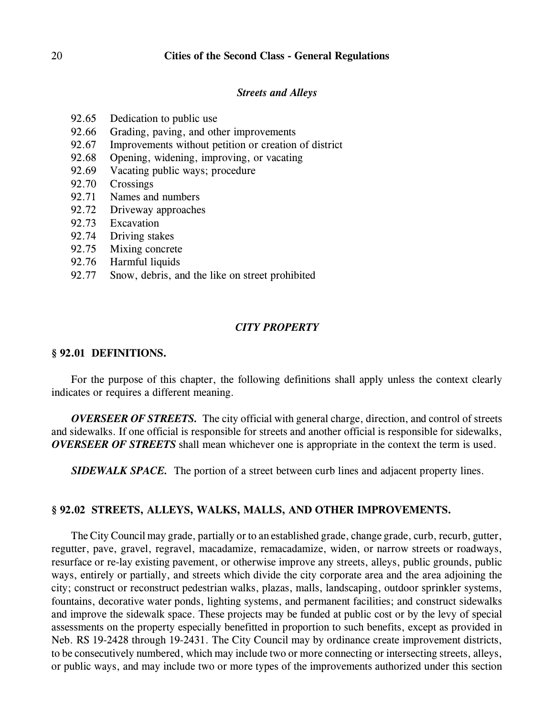#### *Streets and Alleys*

- 92.65 Dedication to public use
- 92.66 Grading, paving, and other improvements
- 92.67 Improvements without petition or creation of district
- 92.68 Opening, widening, improving, or vacating
- 92.69 Vacating public ways; procedure
- 92.70 Crossings
- 92.71 Names and numbers
- 92.72 Driveway approaches
- 92.73 Excavation
- 92.74 Driving stakes
- 92.75 Mixing concrete
- 92.76 Harmful liquids
- 92.77 Snow, debris, and the like on street prohibited

### *CITY PROPERTY*

### **§ 92.01 DEFINITIONS.**

For the purpose of this chapter, the following definitions shall apply unless the context clearly indicates or requires a different meaning.

*OVERSEER OF STREETS.* The city official with general charge, direction, and control of streets and sidewalks. If one official is responsible for streets and another official is responsible for sidewalks, *OVERSEER OF STREETS* shall mean whichever one is appropriate in the context the term is used.

*SIDEWALK SPACE.* The portion of a street between curb lines and adjacent property lines.

# **§ 92.02 STREETS, ALLEYS, WALKS, MALLS, AND OTHER IMPROVEMENTS.**

The City Council may grade, partially or to an established grade, change grade, curb, recurb, gutter, regutter, pave, gravel, regravel, macadamize, remacadamize, widen, or narrow streets or roadways, resurface or re-lay existing pavement, or otherwise improve any streets, alleys, public grounds, public ways, entirely or partially, and streets which divide the city corporate area and the area adjoining the city; construct or reconstruct pedestrian walks, plazas, malls, landscaping, outdoor sprinkler systems, fountains, decorative water ponds, lighting systems, and permanent facilities; and construct sidewalks and improve the sidewalk space. These projects may be funded at public cost or by the levy of special assessments on the property especially benefitted in proportion to such benefits, except as provided in Neb. RS 19-2428 through 19-2431. The City Council may by ordinance create improvement districts, to be consecutively numbered, which may include two or more connecting or intersecting streets, alleys, or public ways, and may include two or more types of the improvements authorized under this section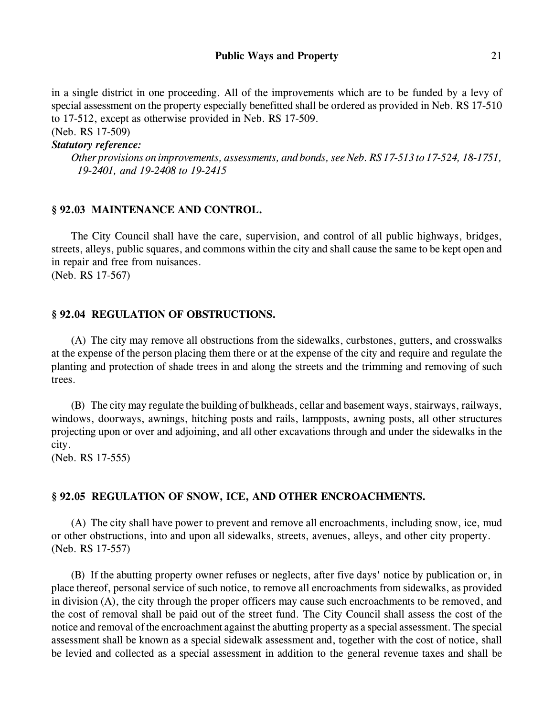in a single district in one proceeding. All of the improvements which are to be funded by a levy of special assessment on the property especially benefitted shall be ordered as provided in Neb. RS 17-510 to 17-512, except as otherwise provided in Neb. RS 17-509.

(Neb. RS 17-509)

# *Statutory reference:*

*Other provisions on improvements, assessments, and bonds, see Neb. RS 17-513 to 17-524, 18-1751, 19-2401, and 19-2408 to 19-2415*

# **§ 92.03 MAINTENANCE AND CONTROL.**

The City Council shall have the care, supervision, and control of all public highways, bridges, streets, alleys, public squares, and commons within the city and shall cause the same to be kept open and in repair and free from nuisances.

(Neb. RS 17-567)

# **§ 92.04 REGULATION OF OBSTRUCTIONS.**

(A) The city may remove all obstructions from the sidewalks, curbstones, gutters, and crosswalks at the expense of the person placing them there or at the expense of the city and require and regulate the planting and protection of shade trees in and along the streets and the trimming and removing of such trees.

(B) The city may regulate the building of bulkheads, cellar and basement ways, stairways, railways, windows, doorways, awnings, hitching posts and rails, lampposts, awning posts, all other structures projecting upon or over and adjoining, and all other excavations through and under the sidewalks in the city.

(Neb. RS 17-555)

# **§ 92.05 REGULATION OF SNOW, ICE, AND OTHER ENCROACHMENTS.**

(A) The city shall have power to prevent and remove all encroachments, including snow, ice, mud or other obstructions, into and upon all sidewalks, streets, avenues, alleys, and other city property. (Neb. RS 17-557)

(B) If the abutting property owner refuses or neglects, after five days' notice by publication or, in place thereof, personal service of such notice, to remove all encroachments from sidewalks, as provided in division (A), the city through the proper officers may cause such encroachments to be removed, and the cost of removal shall be paid out of the street fund. The City Council shall assess the cost of the notice and removal of the encroachment against the abutting property as a special assessment. The special assessment shall be known as a special sidewalk assessment and, together with the cost of notice, shall be levied and collected as a special assessment in addition to the general revenue taxes and shall be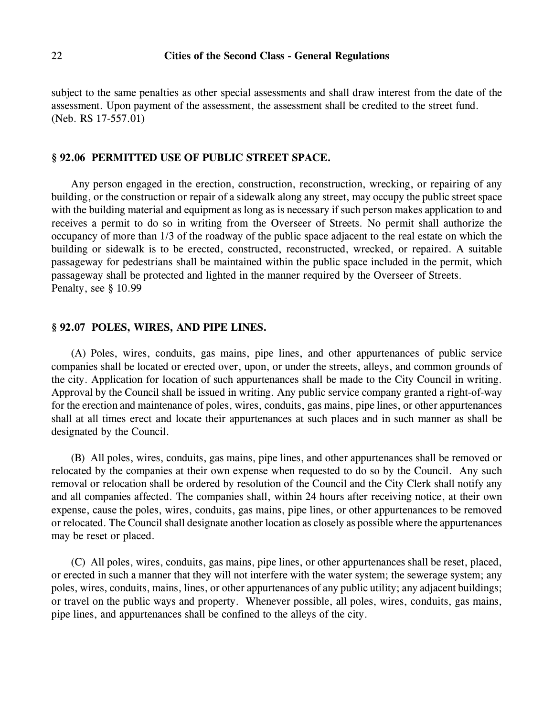subject to the same penalties as other special assessments and shall draw interest from the date of the assessment. Upon payment of the assessment, the assessment shall be credited to the street fund. (Neb. RS 17-557.01)

#### **§ 92.06 PERMITTED USE OF PUBLIC STREET SPACE.**

Any person engaged in the erection, construction, reconstruction, wrecking, or repairing of any building, or the construction or repair of a sidewalk along any street, may occupy the public street space with the building material and equipment as long as is necessary if such person makes application to and receives a permit to do so in writing from the Overseer of Streets. No permit shall authorize the occupancy of more than 1/3 of the roadway of the public space adjacent to the real estate on which the building or sidewalk is to be erected, constructed, reconstructed, wrecked, or repaired. A suitable passageway for pedestrians shall be maintained within the public space included in the permit, which passageway shall be protected and lighted in the manner required by the Overseer of Streets. Penalty, see § 10.99

### **§ 92.07 POLES, WIRES, AND PIPE LINES.**

(A) Poles, wires, conduits, gas mains, pipe lines, and other appurtenances of public service companies shall be located or erected over, upon, or under the streets, alleys, and common grounds of the city. Application for location of such appurtenances shall be made to the City Council in writing. Approval by the Council shall be issued in writing. Any public service company granted a right-of-way for the erection and maintenance of poles, wires, conduits, gas mains, pipe lines, or other appurtenances shall at all times erect and locate their appurtenances at such places and in such manner as shall be designated by the Council.

(B) All poles, wires, conduits, gas mains, pipe lines, and other appurtenances shall be removed or relocated by the companies at their own expense when requested to do so by the Council. Any such removal or relocation shall be ordered by resolution of the Council and the City Clerk shall notify any and all companies affected. The companies shall, within 24 hours after receiving notice, at their own expense, cause the poles, wires, conduits, gas mains, pipe lines, or other appurtenances to be removed or relocated. The Council shall designate another location as closely as possible where the appurtenances may be reset or placed.

(C) All poles, wires, conduits, gas mains, pipe lines, or other appurtenances shall be reset, placed, or erected in such a manner that they will not interfere with the water system; the sewerage system; any poles, wires, conduits, mains, lines, or other appurtenances of any public utility; any adjacent buildings; or travel on the public ways and property. Whenever possible, all poles, wires, conduits, gas mains, pipe lines, and appurtenances shall be confined to the alleys of the city.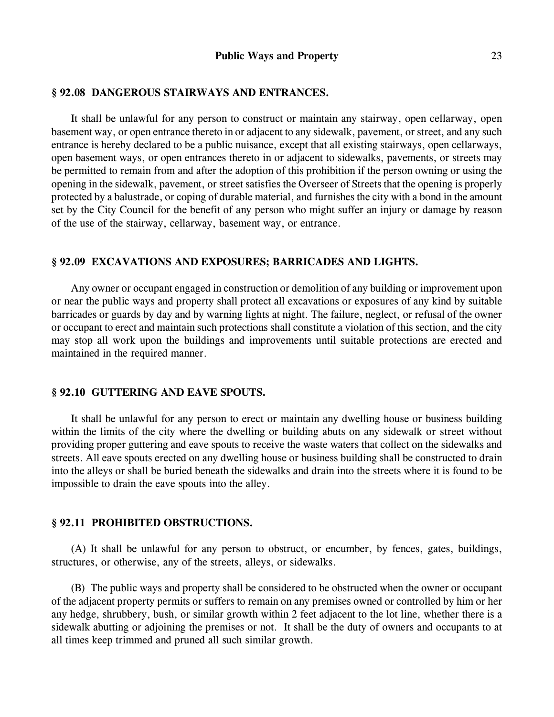#### **§ 92.08 DANGEROUS STAIRWAYS AND ENTRANCES.**

It shall be unlawful for any person to construct or maintain any stairway, open cellarway, open basement way, or open entrance thereto in or adjacent to any sidewalk, pavement, or street, and any such entrance is hereby declared to be a public nuisance, except that all existing stairways, open cellarways, open basement ways, or open entrances thereto in or adjacent to sidewalks, pavements, or streets may be permitted to remain from and after the adoption of this prohibition if the person owning or using the opening in the sidewalk, pavement, or street satisfies the Overseer of Streets that the opening is properly protected by a balustrade, or coping of durable material, and furnishes the city with a bond in the amount set by the City Council for the benefit of any person who might suffer an injury or damage by reason of the use of the stairway, cellarway, basement way, or entrance.

#### **§ 92.09 EXCAVATIONS AND EXPOSURES; BARRICADES AND LIGHTS.**

Any owner or occupant engaged in construction or demolition of any building or improvement upon or near the public ways and property shall protect all excavations or exposures of any kind by suitable barricades or guards by day and by warning lights at night. The failure, neglect, or refusal of the owner or occupant to erect and maintain such protections shall constitute a violation of this section, and the city may stop all work upon the buildings and improvements until suitable protections are erected and maintained in the required manner.

#### **§ 92.10 GUTTERING AND EAVE SPOUTS.**

It shall be unlawful for any person to erect or maintain any dwelling house or business building within the limits of the city where the dwelling or building abuts on any sidewalk or street without providing proper guttering and eave spouts to receive the waste waters that collect on the sidewalks and streets. All eave spouts erected on any dwelling house or business building shall be constructed to drain into the alleys or shall be buried beneath the sidewalks and drain into the streets where it is found to be impossible to drain the eave spouts into the alley.

### **§ 92.11 PROHIBITED OBSTRUCTIONS.**

(A) It shall be unlawful for any person to obstruct, or encumber, by fences, gates, buildings, structures, or otherwise, any of the streets, alleys, or sidewalks.

(B) The public ways and property shall be considered to be obstructed when the owner or occupant of the adjacent property permits or suffers to remain on any premises owned or controlled by him or her any hedge, shrubbery, bush, or similar growth within 2 feet adjacent to the lot line, whether there is a sidewalk abutting or adjoining the premises or not. It shall be the duty of owners and occupants to at all times keep trimmed and pruned all such similar growth.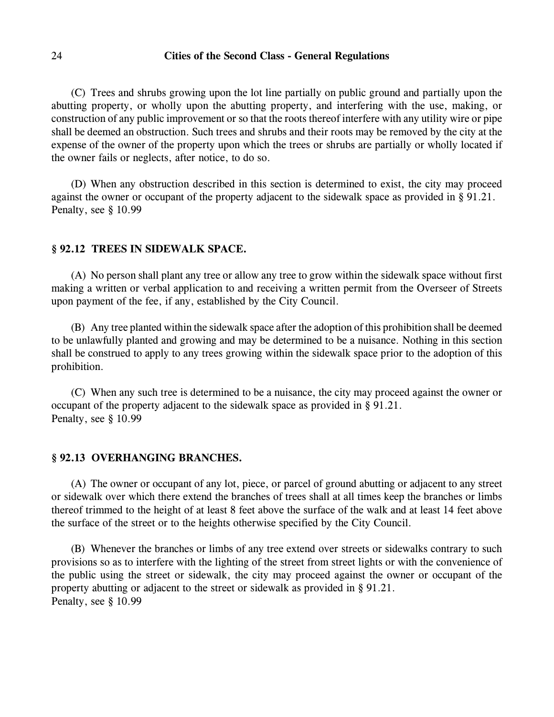(C) Trees and shrubs growing upon the lot line partially on public ground and partially upon the abutting property, or wholly upon the abutting property, and interfering with the use, making, or construction of any public improvement or so that the roots thereof interfere with any utility wire or pipe shall be deemed an obstruction. Such trees and shrubs and their roots may be removed by the city at the expense of the owner of the property upon which the trees or shrubs are partially or wholly located if the owner fails or neglects, after notice, to do so.

(D) When any obstruction described in this section is determined to exist, the city may proceed against the owner or occupant of the property adjacent to the sidewalk space as provided in § 91.21. Penalty, see § 10.99

# **§ 92.12 TREES IN SIDEWALK SPACE.**

(A) No person shall plant any tree or allow any tree to grow within the sidewalk space without first making a written or verbal application to and receiving a written permit from the Overseer of Streets upon payment of the fee, if any, established by the City Council.

(B) Any tree planted within the sidewalk space after the adoption of this prohibition shall be deemed to be unlawfully planted and growing and may be determined to be a nuisance. Nothing in this section shall be construed to apply to any trees growing within the sidewalk space prior to the adoption of this prohibition.

(C) When any such tree is determined to be a nuisance, the city may proceed against the owner or occupant of the property adjacent to the sidewalk space as provided in § 91.21. Penalty, see § 10.99

### **§ 92.13 OVERHANGING BRANCHES.**

(A) The owner or occupant of any lot, piece, or parcel of ground abutting or adjacent to any street or sidewalk over which there extend the branches of trees shall at all times keep the branches or limbs thereof trimmed to the height of at least 8 feet above the surface of the walk and at least 14 feet above the surface of the street or to the heights otherwise specified by the City Council.

(B) Whenever the branches or limbs of any tree extend over streets or sidewalks contrary to such provisions so as to interfere with the lighting of the street from street lights or with the convenience of the public using the street or sidewalk, the city may proceed against the owner or occupant of the property abutting or adjacent to the street or sidewalk as provided in § 91.21. Penalty, see § 10.99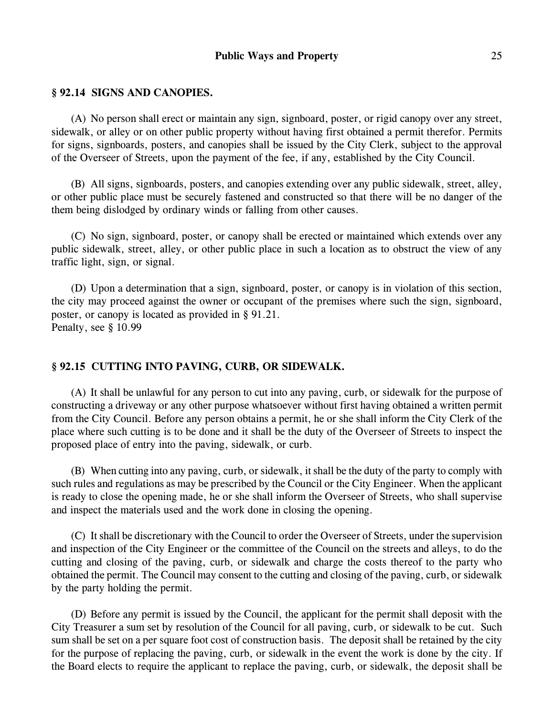### **§ 92.14 SIGNS AND CANOPIES.**

(A) No person shall erect or maintain any sign, signboard, poster, or rigid canopy over any street, sidewalk, or alley or on other public property without having first obtained a permit therefor. Permits for signs, signboards, posters, and canopies shall be issued by the City Clerk, subject to the approval of the Overseer of Streets, upon the payment of the fee, if any, established by the City Council.

(B) All signs, signboards, posters, and canopies extending over any public sidewalk, street, alley, or other public place must be securely fastened and constructed so that there will be no danger of the them being dislodged by ordinary winds or falling from other causes.

(C) No sign, signboard, poster, or canopy shall be erected or maintained which extends over any public sidewalk, street, alley, or other public place in such a location as to obstruct the view of any traffic light, sign, or signal.

(D) Upon a determination that a sign, signboard, poster, or canopy is in violation of this section, the city may proceed against the owner or occupant of the premises where such the sign, signboard, poster, or canopy is located as provided in § 91.21. Penalty, see § 10.99

# **§ 92.15 CUTTING INTO PAVING, CURB, OR SIDEWALK.**

(A) It shall be unlawful for any person to cut into any paving, curb, or sidewalk for the purpose of constructing a driveway or any other purpose whatsoever without first having obtained a written permit from the City Council. Before any person obtains a permit, he or she shall inform the City Clerk of the place where such cutting is to be done and it shall be the duty of the Overseer of Streets to inspect the proposed place of entry into the paving, sidewalk, or curb.

(B) When cutting into any paving, curb, or sidewalk, it shall be the duty of the party to comply with such rules and regulations as may be prescribed by the Council or the City Engineer. When the applicant is ready to close the opening made, he or she shall inform the Overseer of Streets, who shall supervise and inspect the materials used and the work done in closing the opening.

(C) It shall be discretionary with the Council to order the Overseer of Streets, under the supervision and inspection of the City Engineer or the committee of the Council on the streets and alleys, to do the cutting and closing of the paving, curb, or sidewalk and charge the costs thereof to the party who obtained the permit. The Council may consent to the cutting and closing of the paving, curb, or sidewalk by the party holding the permit.

(D) Before any permit is issued by the Council, the applicant for the permit shall deposit with the City Treasurer a sum set by resolution of the Council for all paving, curb, or sidewalk to be cut. Such sum shall be set on a per square foot cost of construction basis. The deposit shall be retained by the city for the purpose of replacing the paving, curb, or sidewalk in the event the work is done by the city. If the Board elects to require the applicant to replace the paving, curb, or sidewalk, the deposit shall be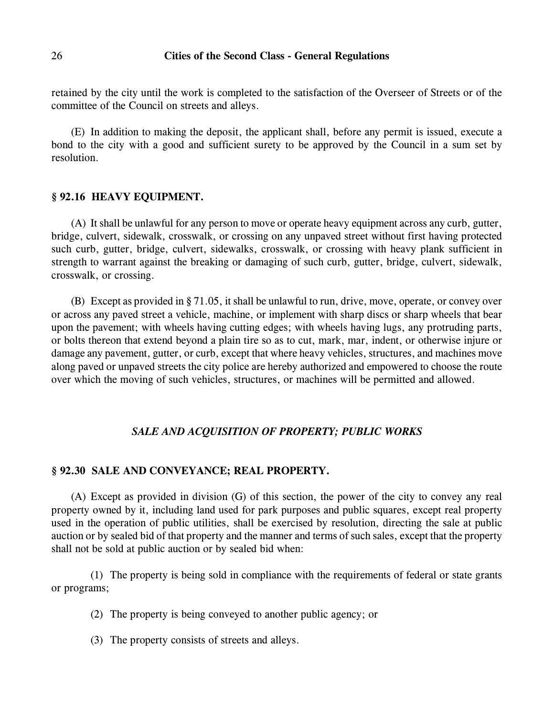retained by the city until the work is completed to the satisfaction of the Overseer of Streets or of the committee of the Council on streets and alleys.

(E) In addition to making the deposit, the applicant shall, before any permit is issued, execute a bond to the city with a good and sufficient surety to be approved by the Council in a sum set by resolution.

### **§ 92.16 HEAVY EQUIPMENT.**

(A) It shall be unlawful for any person to move or operate heavy equipment across any curb, gutter, bridge, culvert, sidewalk, crosswalk, or crossing on any unpaved street without first having protected such curb, gutter, bridge, culvert, sidewalks, crosswalk, or crossing with heavy plank sufficient in strength to warrant against the breaking or damaging of such curb, gutter, bridge, culvert, sidewalk, crosswalk, or crossing.

(B) Except as provided in § 71.05, it shall be unlawful to run, drive, move, operate, or convey over or across any paved street a vehicle, machine, or implement with sharp discs or sharp wheels that bear upon the pavement; with wheels having cutting edges; with wheels having lugs, any protruding parts, or bolts thereon that extend beyond a plain tire so as to cut, mark, mar, indent, or otherwise injure or damage any pavement, gutter, or curb, except that where heavy vehicles, structures, and machines move along paved or unpaved streets the city police are hereby authorized and empowered to choose the route over which the moving of such vehicles, structures, or machines will be permitted and allowed.

# *SALE AND ACQUISITION OF PROPERTY; PUBLIC WORKS*

### **§ 92.30 SALE AND CONVEYANCE; REAL PROPERTY.**

(A) Except as provided in division (G) of this section, the power of the city to convey any real property owned by it, including land used for park purposes and public squares, except real property used in the operation of public utilities, shall be exercised by resolution, directing the sale at public auction or by sealed bid of that property and the manner and terms of such sales, except that the property shall not be sold at public auction or by sealed bid when:

(1) The property is being sold in compliance with the requirements of federal or state grants or programs;

- (2) The property is being conveyed to another public agency; or
- (3) The property consists of streets and alleys.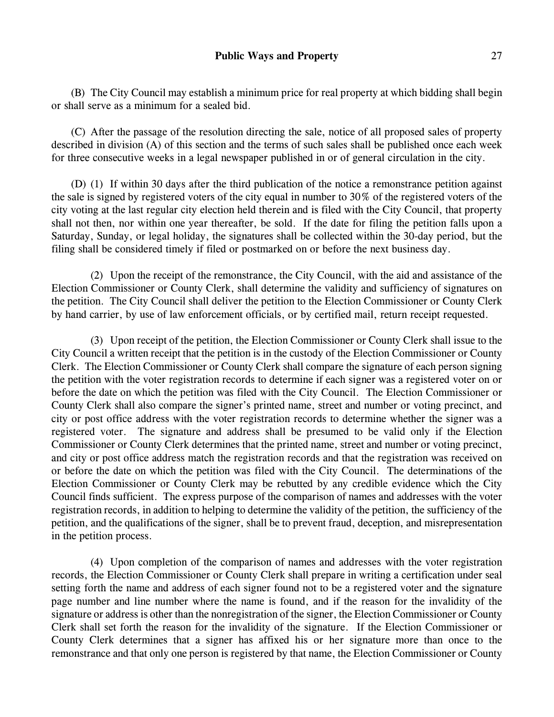(B) The City Council may establish a minimum price for real property at which bidding shall begin or shall serve as a minimum for a sealed bid.

(C) After the passage of the resolution directing the sale, notice of all proposed sales of property described in division (A) of this section and the terms of such sales shall be published once each week for three consecutive weeks in a legal newspaper published in or of general circulation in the city.

(D) (1) If within 30 days after the third publication of the notice a remonstrance petition against the sale is signed by registered voters of the city equal in number to 30% of the registered voters of the city voting at the last regular city election held therein and is filed with the City Council, that property shall not then, nor within one year thereafter, be sold. If the date for filing the petition falls upon a Saturday, Sunday, or legal holiday, the signatures shall be collected within the 30-day period, but the filing shall be considered timely if filed or postmarked on or before the next business day.

(2) Upon the receipt of the remonstrance, the City Council, with the aid and assistance of the Election Commissioner or County Clerk, shall determine the validity and sufficiency of signatures on the petition. The City Council shall deliver the petition to the Election Commissioner or County Clerk by hand carrier, by use of law enforcement officials, or by certified mail, return receipt requested.

(3) Upon receipt of the petition, the Election Commissioner or County Clerk shall issue to the City Council a written receipt that the petition is in the custody of the Election Commissioner or County Clerk. The Election Commissioner or County Clerk shall compare the signature of each person signing the petition with the voter registration records to determine if each signer was a registered voter on or before the date on which the petition was filed with the City Council. The Election Commissioner or County Clerk shall also compare the signer's printed name, street and number or voting precinct, and city or post office address with the voter registration records to determine whether the signer was a registered voter. The signature and address shall be presumed to be valid only if the Election Commissioner or County Clerk determines that the printed name, street and number or voting precinct, and city or post office address match the registration records and that the registration was received on or before the date on which the petition was filed with the City Council. The determinations of the Election Commissioner or County Clerk may be rebutted by any credible evidence which the City Council finds sufficient. The express purpose of the comparison of names and addresses with the voter registration records, in addition to helping to determine the validity of the petition, the sufficiency of the petition, and the qualifications of the signer, shall be to prevent fraud, deception, and misrepresentation in the petition process.

(4) Upon completion of the comparison of names and addresses with the voter registration records, the Election Commissioner or County Clerk shall prepare in writing a certification under seal setting forth the name and address of each signer found not to be a registered voter and the signature page number and line number where the name is found, and if the reason for the invalidity of the signature or address is other than the nonregistration of the signer, the Election Commissioner or County Clerk shall set forth the reason for the invalidity of the signature. If the Election Commissioner or County Clerk determines that a signer has affixed his or her signature more than once to the remonstrance and that only one person is registered by that name, the Election Commissioner or County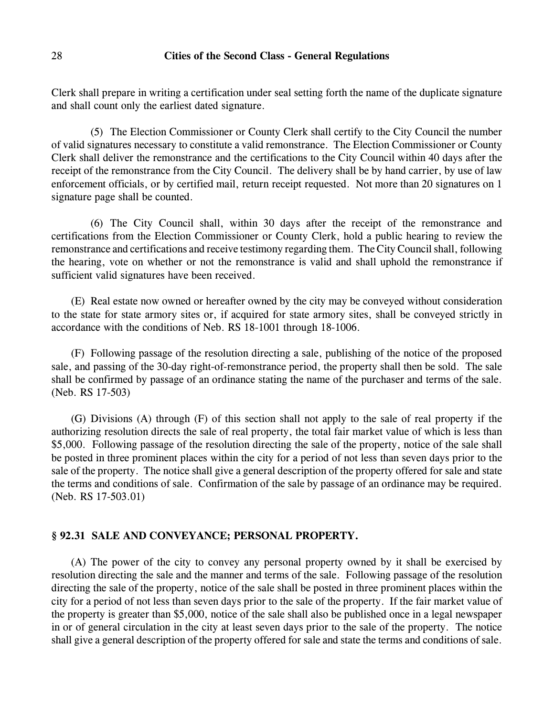Clerk shall prepare in writing a certification under seal setting forth the name of the duplicate signature and shall count only the earliest dated signature.

(5) The Election Commissioner or County Clerk shall certify to the City Council the number of valid signatures necessary to constitute a valid remonstrance. The Election Commissioner or County Clerk shall deliver the remonstrance and the certifications to the City Council within 40 days after the receipt of the remonstrance from the City Council. The delivery shall be by hand carrier, by use of law enforcement officials, or by certified mail, return receipt requested. Not more than 20 signatures on 1 signature page shall be counted.

(6) The City Council shall, within 30 days after the receipt of the remonstrance and certifications from the Election Commissioner or County Clerk, hold a public hearing to review the remonstrance and certifications and receive testimony regarding them. TheCity Council shall, following the hearing, vote on whether or not the remonstrance is valid and shall uphold the remonstrance if sufficient valid signatures have been received.

(E) Real estate now owned or hereafter owned by the city may be conveyed without consideration to the state for state armory sites or, if acquired for state armory sites, shall be conveyed strictly in accordance with the conditions of Neb. RS 18-1001 through 18-1006.

(F) Following passage of the resolution directing a sale, publishing of the notice of the proposed sale, and passing of the 30-day right-of-remonstrance period, the property shall then be sold. The sale shall be confirmed by passage of an ordinance stating the name of the purchaser and terms of the sale. (Neb. RS 17-503)

(G) Divisions (A) through (F) of this section shall not apply to the sale of real property if the authorizing resolution directs the sale of real property, the total fair market value of which is less than \$5,000. Following passage of the resolution directing the sale of the property, notice of the sale shall be posted in three prominent places within the city for a period of not less than seven days prior to the sale of the property. The notice shall give a general description of the property offered for sale and state the terms and conditions of sale. Confirmation of the sale by passage of an ordinance may be required. (Neb. RS 17-503.01)

### **§ 92.31 SALE AND CONVEYANCE; PERSONAL PROPERTY.**

(A) The power of the city to convey any personal property owned by it shall be exercised by resolution directing the sale and the manner and terms of the sale. Following passage of the resolution directing the sale of the property, notice of the sale shall be posted in three prominent places within the city for a period of not less than seven days prior to the sale of the property. If the fair market value of the property is greater than \$5,000, notice of the sale shall also be published once in a legal newspaper in or of general circulation in the city at least seven days prior to the sale of the property. The notice shall give a general description of the property offered for sale and state the terms and conditions of sale.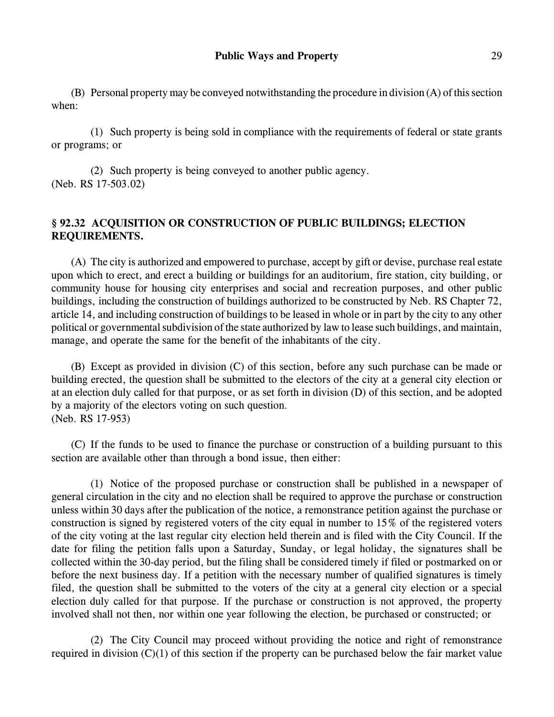(B) Personal property may be conveyed notwithstanding the procedure in division (A) of this section when:

(1) Such property is being sold in compliance with the requirements of federal or state grants or programs; or

(2) Such property is being conveyed to another public agency. (Neb. RS 17-503.02)

# **§ 92.32 ACQUISITION OR CONSTRUCTION OF PUBLIC BUILDINGS; ELECTION REQUIREMENTS.**

(A) The city is authorized and empowered to purchase, accept by gift or devise, purchase real estate upon which to erect, and erect a building or buildings for an auditorium, fire station, city building, or community house for housing city enterprises and social and recreation purposes, and other public buildings, including the construction of buildings authorized to be constructed by Neb. RS Chapter 72, article 14, and including construction of buildings to be leased in whole or in part by the city to any other political or governmental subdivision of the state authorized by law to lease such buildings, and maintain, manage, and operate the same for the benefit of the inhabitants of the city.

(B) Except as provided in division (C) of this section, before any such purchase can be made or building erected, the question shall be submitted to the electors of the city at a general city election or at an election duly called for that purpose, or as set forth in division (D) of this section, and be adopted by a majority of the electors voting on such question. (Neb. RS 17-953)

(C) If the funds to be used to finance the purchase or construction of a building pursuant to this section are available other than through a bond issue, then either:

(1) Notice of the proposed purchase or construction shall be published in a newspaper of general circulation in the city and no election shall be required to approve the purchase or construction unless within 30 days after the publication of the notice, a remonstrance petition against the purchase or construction is signed by registered voters of the city equal in number to 15% of the registered voters of the city voting at the last regular city election held therein and is filed with the City Council. If the date for filing the petition falls upon a Saturday, Sunday, or legal holiday, the signatures shall be collected within the 30-day period, but the filing shall be considered timely if filed or postmarked on or before the next business day. If a petition with the necessary number of qualified signatures is timely filed, the question shall be submitted to the voters of the city at a general city election or a special election duly called for that purpose. If the purchase or construction is not approved, the property involved shall not then, nor within one year following the election, be purchased or constructed; or

(2) The City Council may proceed without providing the notice and right of remonstrance required in division (C)(1) of this section if the property can be purchased below the fair market value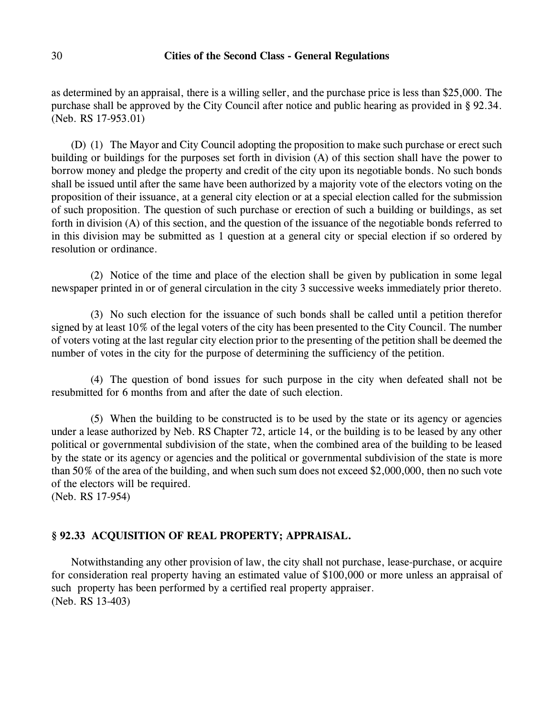as determined by an appraisal, there is a willing seller, and the purchase price is less than \$25,000. The purchase shall be approved by the City Council after notice and public hearing as provided in § 92.34. (Neb. RS 17-953.01)

(D) (1) The Mayor and City Council adopting the proposition to make such purchase or erect such building or buildings for the purposes set forth in division (A) of this section shall have the power to borrow money and pledge the property and credit of the city upon its negotiable bonds. No such bonds shall be issued until after the same have been authorized by a majority vote of the electors voting on the proposition of their issuance, at a general city election or at a special election called for the submission of such proposition. The question of such purchase or erection of such a building or buildings, as set forth in division (A) of this section, and the question of the issuance of the negotiable bonds referred to in this division may be submitted as 1 question at a general city or special election if so ordered by resolution or ordinance.

(2) Notice of the time and place of the election shall be given by publication in some legal newspaper printed in or of general circulation in the city 3 successive weeks immediately prior thereto.

(3) No such election for the issuance of such bonds shall be called until a petition therefor signed by at least 10% of the legal voters of the city has been presented to the City Council. The number of voters voting at the last regular city election prior to the presenting of the petition shall be deemed the number of votes in the city for the purpose of determining the sufficiency of the petition.

(4) The question of bond issues for such purpose in the city when defeated shall not be resubmitted for 6 months from and after the date of such election.

(5) When the building to be constructed is to be used by the state or its agency or agencies under a lease authorized by Neb. RS Chapter 72, article 14, or the building is to be leased by any other political or governmental subdivision of the state, when the combined area of the building to be leased by the state or its agency or agencies and the political or governmental subdivision of the state is more than 50% of the area of the building, and when such sum does not exceed \$2,000,000, then no such vote of the electors will be required.

(Neb. RS 17-954)

# **§ 92.33 ACQUISITION OF REAL PROPERTY; APPRAISAL.**

Notwithstanding any other provision of law, the city shall not purchase, lease-purchase, or acquire for consideration real property having an estimated value of \$100,000 or more unless an appraisal of such property has been performed by a certified real property appraiser. (Neb. RS 13-403)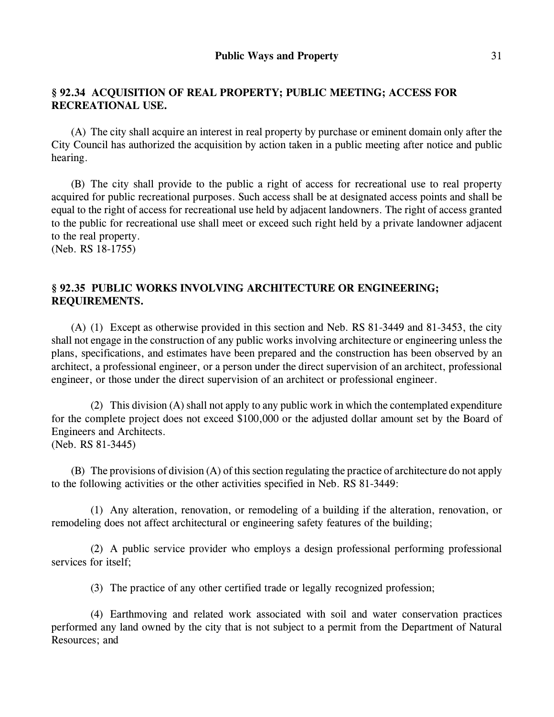# **§ 92.34 ACQUISITION OF REAL PROPERTY; PUBLIC MEETING; ACCESS FOR RECREATIONAL USE.**

(A) The city shall acquire an interest in real property by purchase or eminent domain only after the City Council has authorized the acquisition by action taken in a public meeting after notice and public hearing.

(B) The city shall provide to the public a right of access for recreational use to real property acquired for public recreational purposes. Such access shall be at designated access points and shall be equal to the right of access for recreational use held by adjacent landowners. The right of access granted to the public for recreational use shall meet or exceed such right held by a private landowner adjacent to the real property.

(Neb. RS 18-1755)

# **§ 92.35 PUBLIC WORKS INVOLVING ARCHITECTURE OR ENGINEERING; REQUIREMENTS.**

(A) (1) Except as otherwise provided in this section and Neb. RS 81-3449 and 81-3453, the city shall not engage in the construction of any public works involving architecture or engineering unless the plans, specifications, and estimates have been prepared and the construction has been observed by an architect, a professional engineer, or a person under the direct supervision of an architect, professional engineer, or those under the direct supervision of an architect or professional engineer.

(2) This division (A) shall not apply to any public work in which the contemplated expenditure for the complete project does not exceed \$100,000 or the adjusted dollar amount set by the Board of Engineers and Architects. (Neb. RS 81-3445)

(B) The provisions of division (A) of this section regulating the practice of architecture do not apply to the following activities or the other activities specified in Neb. RS 81-3449:

(1) Any alteration, renovation, or remodeling of a building if the alteration, renovation, or remodeling does not affect architectural or engineering safety features of the building;

(2) A public service provider who employs a design professional performing professional services for itself;

(3) The practice of any other certified trade or legally recognized profession;

(4) Earthmoving and related work associated with soil and water conservation practices performed any land owned by the city that is not subject to a permit from the Department of Natural Resources; and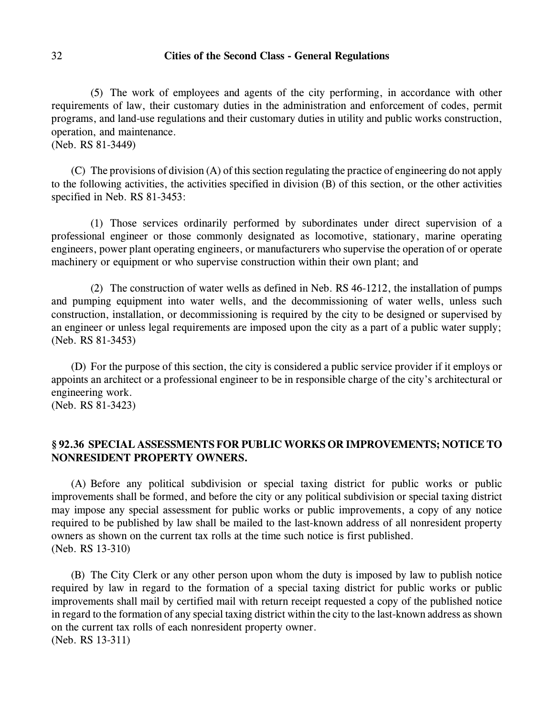(5) The work of employees and agents of the city performing, in accordance with other requirements of law, their customary duties in the administration and enforcement of codes, permit programs, and land-use regulations and their customary duties in utility and public works construction, operation, and maintenance.

(Neb. RS 81-3449)

(C) The provisions of division (A) of this section regulating the practice of engineering do not apply to the following activities, the activities specified in division (B) of this section, or the other activities specified in Neb. RS 81-3453:

(1) Those services ordinarily performed by subordinates under direct supervision of a professional engineer or those commonly designated as locomotive, stationary, marine operating engineers, power plant operating engineers, or manufacturers who supervise the operation of or operate machinery or equipment or who supervise construction within their own plant; and

(2) The construction of water wells as defined in Neb. RS 46-1212, the installation of pumps and pumping equipment into water wells, and the decommissioning of water wells, unless such construction, installation, or decommissioning is required by the city to be designed or supervised by an engineer or unless legal requirements are imposed upon the city as a part of a public water supply; (Neb. RS 81-3453)

(D) For the purpose of this section, the city is considered a public service provider if it employs or appoints an architect or a professional engineer to be in responsible charge of the city's architectural or engineering work.

(Neb. RS 81-3423)

# **§ 92.36 SPECIAL ASSESSMENTS FOR PUBLIC WORKS OR IMPROVEMENTS; NOTICE TO NONRESIDENT PROPERTY OWNERS.**

(A) Before any political subdivision or special taxing district for public works or public improvements shall be formed, and before the city or any political subdivision or special taxing district may impose any special assessment for public works or public improvements, a copy of any notice required to be published by law shall be mailed to the last-known address of all nonresident property owners as shown on the current tax rolls at the time such notice is first published. (Neb. RS 13-310)

(B) The City Clerk or any other person upon whom the duty is imposed by law to publish notice required by law in regard to the formation of a special taxing district for public works or public improvements shall mail by certified mail with return receipt requested a copy of the published notice in regard to the formation of any special taxing district within the city to the last-known address as shown on the current tax rolls of each nonresident property owner. (Neb. RS 13-311)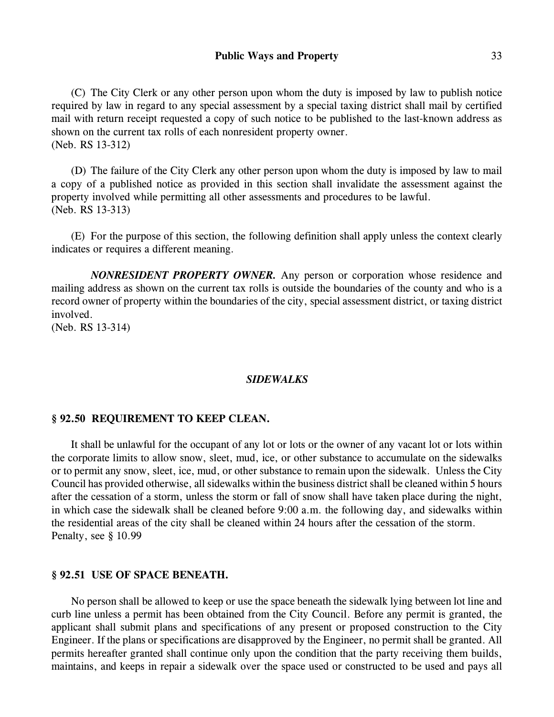(C) The City Clerk or any other person upon whom the duty is imposed by law to publish notice required by law in regard to any special assessment by a special taxing district shall mail by certified mail with return receipt requested a copy of such notice to be published to the last-known address as shown on the current tax rolls of each nonresident property owner. (Neb. RS 13-312)

(D) The failure of the City Clerk any other person upon whom the duty is imposed by law to mail a copy of a published notice as provided in this section shall invalidate the assessment against the property involved while permitting all other assessments and procedures to be lawful. (Neb. RS 13-313)

(E) For the purpose of this section, the following definition shall apply unless the context clearly indicates or requires a different meaning.

*NONRESIDENT PROPERTY OWNER.* Any person or corporation whose residence and mailing address as shown on the current tax rolls is outside the boundaries of the county and who is a record owner of property within the boundaries of the city, special assessment district, or taxing district involved.

(Neb. RS 13-314)

### *SIDEWALKS*

### **§ 92.50 REQUIREMENT TO KEEP CLEAN.**

It shall be unlawful for the occupant of any lot or lots or the owner of any vacant lot or lots within the corporate limits to allow snow, sleet, mud, ice, or other substance to accumulate on the sidewalks or to permit any snow, sleet, ice, mud, or other substance to remain upon the sidewalk. Unless the City Council has provided otherwise, all sidewalks within the business district shall be cleaned within 5 hours after the cessation of a storm, unless the storm or fall of snow shall have taken place during the night, in which case the sidewalk shall be cleaned before 9:00 a.m. the following day, and sidewalks within the residential areas of the city shall be cleaned within 24 hours after the cessation of the storm. Penalty, see § 10.99

### **§ 92.51 USE OF SPACE BENEATH.**

No person shall be allowed to keep or use the space beneath the sidewalk lying between lot line and curb line unless a permit has been obtained from the City Council. Before any permit is granted, the applicant shall submit plans and specifications of any present or proposed construction to the City Engineer. If the plans or specifications are disapproved by the Engineer, no permit shall be granted. All permits hereafter granted shall continue only upon the condition that the party receiving them builds, maintains, and keeps in repair a sidewalk over the space used or constructed to be used and pays all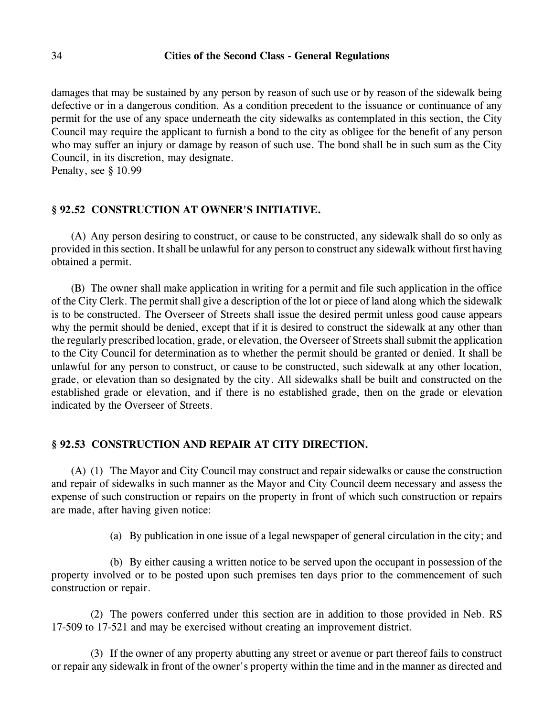damages that may be sustained by any person by reason of such use or by reason of the sidewalk being defective or in a dangerous condition. As a condition precedent to the issuance or continuance of any permit for the use of any space underneath the city sidewalks as contemplated in this section, the City Council may require the applicant to furnish a bond to the city as obligee for the benefit of any person who may suffer an injury or damage by reason of such use. The bond shall be in such sum as the City Council, in its discretion, may designate.

Penalty, see § 10.99

# **§ 92.52 CONSTRUCTION AT OWNER'S INITIATIVE.**

(A) Any person desiring to construct, or cause to be constructed, any sidewalk shall do so only as provided in this section. It shall be unlawful for any person to construct any sidewalk without first having obtained a permit.

(B) The owner shall make application in writing for a permit and file such application in the office of the City Clerk. The permit shall give a description of the lot or piece of land along which the sidewalk is to be constructed. The Overseer of Streets shall issue the desired permit unless good cause appears why the permit should be denied, except that if it is desired to construct the sidewalk at any other than the regularly prescribed location, grade, or elevation, the Overseer of Streetsshall submit the application to the City Council for determination as to whether the permit should be granted or denied. It shall be unlawful for any person to construct, or cause to be constructed, such sidewalk at any other location, grade, or elevation than so designated by the city. All sidewalks shall be built and constructed on the established grade or elevation, and if there is no established grade, then on the grade or elevation indicated by the Overseer of Streets.

### **§ 92.53 CONSTRUCTION AND REPAIR AT CITY DIRECTION.**

(A) (1) The Mayor and City Council may construct and repair sidewalks or cause the construction and repair of sidewalks in such manner as the Mayor and City Council deem necessary and assess the expense of such construction or repairs on the property in front of which such construction or repairs are made, after having given notice:

(a) By publication in one issue of a legal newspaper of general circulation in the city; and

(b) By either causing a written notice to be served upon the occupant in possession of the property involved or to be posted upon such premises ten days prior to the commencement of such construction or repair.

(2) The powers conferred under this section are in addition to those provided in Neb. RS 17-509 to 17-521 and may be exercised without creating an improvement district.

(3) If the owner of any property abutting any street or avenue or part thereof fails to construct or repair any sidewalk in front of the owner's property within the time and in the manner as directed and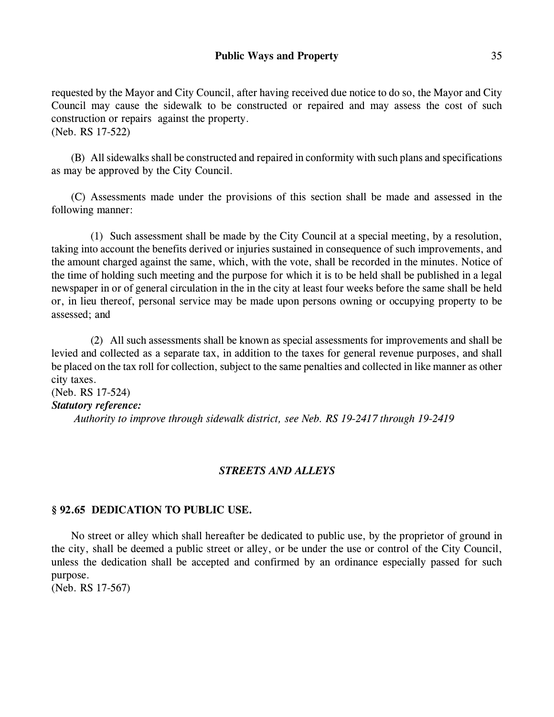requested by the Mayor and City Council, after having received due notice to do so, the Mayor and City Council may cause the sidewalk to be constructed or repaired and may assess the cost of such construction or repairs against the property. (Neb. RS 17-522)

(B) All sidewalks shall be constructed and repaired in conformity with such plans and specifications as may be approved by the City Council.

(C) Assessments made under the provisions of this section shall be made and assessed in the following manner:

(1) Such assessment shall be made by the City Council at a special meeting, by a resolution, taking into account the benefits derived or injuries sustained in consequence of such improvements, and the amount charged against the same, which, with the vote, shall be recorded in the minutes. Notice of the time of holding such meeting and the purpose for which it is to be held shall be published in a legal newspaper in or of general circulation in the in the city at least four weeks before the same shall be held or, in lieu thereof, personal service may be made upon persons owning or occupying property to be assessed; and

(2) All such assessments shall be known as special assessments for improvements and shall be levied and collected as a separate tax, in addition to the taxes for general revenue purposes, and shall be placed on the tax roll for collection, subject to the same penalties and collected in like manner as other city taxes.

(Neb. RS 17-524) *Statutory reference: Authority to improve through sidewalk district, see Neb. RS 19-2417 through 19-2419*

# *STREETS AND ALLEYS*

# **§ 92.65 DEDICATION TO PUBLIC USE.**

No street or alley which shall hereafter be dedicated to public use, by the proprietor of ground in the city, shall be deemed a public street or alley, or be under the use or control of the City Council, unless the dedication shall be accepted and confirmed by an ordinance especially passed for such purpose.

(Neb. RS 17-567)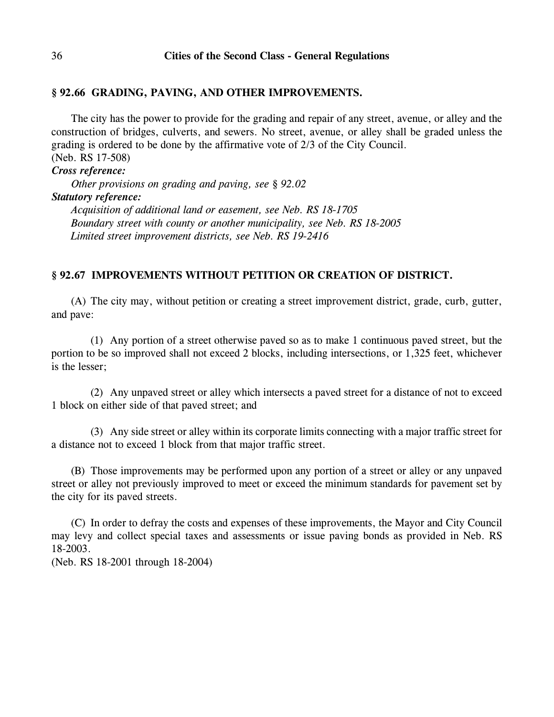### **§ 92.66 GRADING, PAVING, AND OTHER IMPROVEMENTS.**

The city has the power to provide for the grading and repair of any street, avenue, or alley and the construction of bridges, culverts, and sewers. No street, avenue, or alley shall be graded unless the grading is ordered to be done by the affirmative vote of 2/3 of the City Council. (Neb. RS 17-508)

*Cross reference: Other provisions on grading and paving, see § 92.02 Statutory reference: Acquisition of additional land or easement, see Neb. RS 18-1705 Boundary street with county or another municipality, see Neb. RS 18-2005 Limited street improvement districts, see Neb. RS 19-2416*

# **§ 92.67 IMPROVEMENTS WITHOUT PETITION OR CREATION OF DISTRICT.**

(A) The city may, without petition or creating a street improvement district, grade, curb, gutter, and pave:

(1) Any portion of a street otherwise paved so as to make 1 continuous paved street, but the portion to be so improved shall not exceed 2 blocks, including intersections, or 1,325 feet, whichever is the lesser;

(2) Any unpaved street or alley which intersects a paved street for a distance of not to exceed 1 block on either side of that paved street; and

(3) Any side street or alley within its corporate limits connecting with a major traffic street for a distance not to exceed 1 block from that major traffic street.

(B) Those improvements may be performed upon any portion of a street or alley or any unpaved street or alley not previously improved to meet or exceed the minimum standards for pavement set by the city for its paved streets.

(C) In order to defray the costs and expenses of these improvements, the Mayor and City Council may levy and collect special taxes and assessments or issue paving bonds as provided in Neb. RS 18-2003.

(Neb. RS 18-2001 through 18-2004)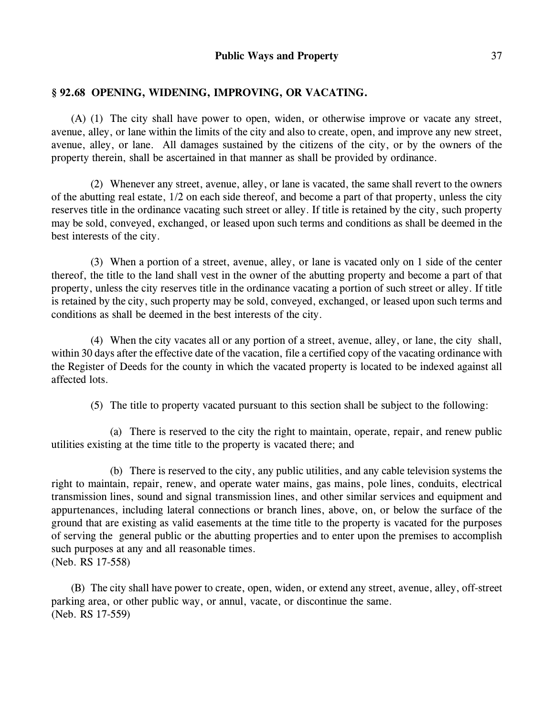# **§ 92.68 OPENING, WIDENING, IMPROVING, OR VACATING.**

(A) (1) The city shall have power to open, widen, or otherwise improve or vacate any street, avenue, alley, or lane within the limits of the city and also to create, open, and improve any new street, avenue, alley, or lane. All damages sustained by the citizens of the city, or by the owners of the property therein, shall be ascertained in that manner as shall be provided by ordinance.

(2) Whenever any street, avenue, alley, or lane is vacated, the same shall revert to the owners of the abutting real estate, 1/2 on each side thereof, and become a part of that property, unless the city reserves title in the ordinance vacating such street or alley. If title is retained by the city, such property may be sold, conveyed, exchanged, or leased upon such terms and conditions as shall be deemed in the best interests of the city.

(3) When a portion of a street, avenue, alley, or lane is vacated only on 1 side of the center thereof, the title to the land shall vest in the owner of the abutting property and become a part of that property, unless the city reserves title in the ordinance vacating a portion of such street or alley. If title is retained by the city, such property may be sold, conveyed, exchanged, or leased upon such terms and conditions as shall be deemed in the best interests of the city.

(4) When the city vacates all or any portion of a street, avenue, alley, or lane, the city shall, within 30 days after the effective date of the vacation, file a certified copy of the vacating ordinance with the Register of Deeds for the county in which the vacated property is located to be indexed against all affected lots.

(5) The title to property vacated pursuant to this section shall be subject to the following:

(a) There is reserved to the city the right to maintain, operate, repair, and renew public utilities existing at the time title to the property is vacated there; and

(b) There is reserved to the city, any public utilities, and any cable television systems the right to maintain, repair, renew, and operate water mains, gas mains, pole lines, conduits, electrical transmission lines, sound and signal transmission lines, and other similar services and equipment and appurtenances, including lateral connections or branch lines, above, on, or below the surface of the ground that are existing as valid easements at the time title to the property is vacated for the purposes of serving the general public or the abutting properties and to enter upon the premises to accomplish such purposes at any and all reasonable times. (Neb. RS 17-558)

(B) The city shall have power to create, open, widen, or extend any street, avenue, alley, off-street parking area, or other public way, or annul, vacate, or discontinue the same. (Neb. RS 17-559)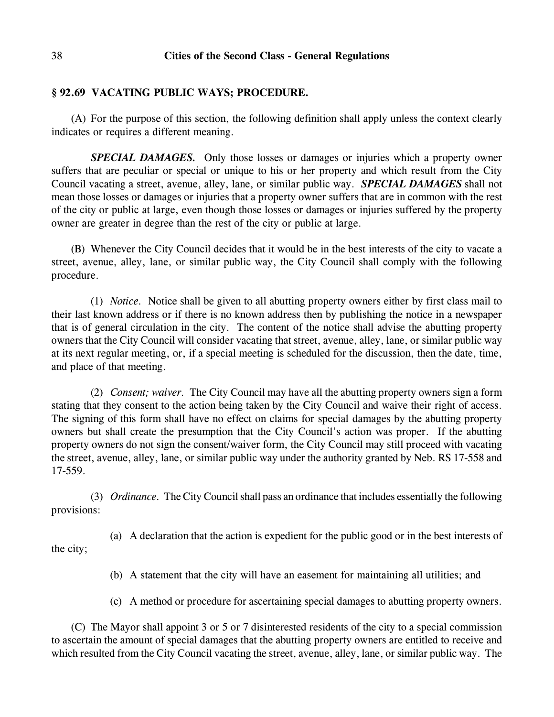#### **§ 92.69 VACATING PUBLIC WAYS; PROCEDURE.**

(A) For the purpose of this section, the following definition shall apply unless the context clearly indicates or requires a different meaning.

*SPECIAL DAMAGES.* Only those losses or damages or injuries which a property owner suffers that are peculiar or special or unique to his or her property and which result from the City Council vacating a street, avenue, alley, lane, or similar public way. *SPECIAL DAMAGES* shall not mean those losses or damages or injuries that a property owner suffers that are in common with the rest of the city or public at large, even though those losses or damages or injuries suffered by the property owner are greater in degree than the rest of the city or public at large.

(B) Whenever the City Council decides that it would be in the best interests of the city to vacate a street, avenue, alley, lane, or similar public way, the City Council shall comply with the following procedure.

(1) *Notice.* Notice shall be given to all abutting property owners either by first class mail to their last known address or if there is no known address then by publishing the notice in a newspaper that is of general circulation in the city. The content of the notice shall advise the abutting property owners that the City Council will consider vacating that street, avenue, alley, lane, or similar public way at its next regular meeting, or, if a special meeting is scheduled for the discussion, then the date, time, and place of that meeting.

(2) *Consent; waiver.* The City Council may have all the abutting property owners sign a form stating that they consent to the action being taken by the City Council and waive their right of access. The signing of this form shall have no effect on claims for special damages by the abutting property owners but shall create the presumption that the City Council's action was proper. If the abutting property owners do not sign the consent/waiver form, the City Council may still proceed with vacating the street, avenue, alley, lane, or similar public way under the authority granted by Neb. RS 17-558 and 17-559.

(3) *Ordinance.* The City Council shall pass an ordinance that includes essentially the following provisions:

(a) A declaration that the action is expedient for the public good or in the best interests of the city;

- (b) A statement that the city will have an easement for maintaining all utilities; and
- (c) A method or procedure for ascertaining special damages to abutting property owners.

(C) The Mayor shall appoint 3 or 5 or 7 disinterested residents of the city to a special commission to ascertain the amount of special damages that the abutting property owners are entitled to receive and which resulted from the City Council vacating the street, avenue, alley, lane, or similar public way. The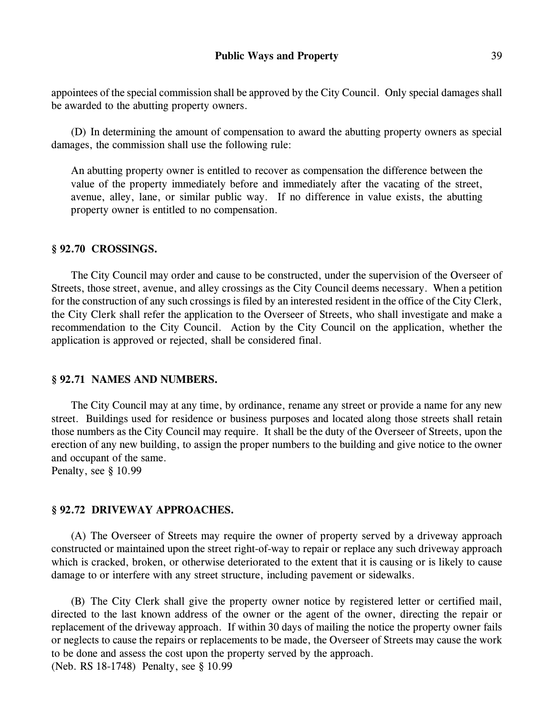appointees of the special commission shall be approved by the City Council. Only special damages shall be awarded to the abutting property owners.

(D) In determining the amount of compensation to award the abutting property owners as special damages, the commission shall use the following rule:

An abutting property owner is entitled to recover as compensation the difference between the value of the property immediately before and immediately after the vacating of the street, avenue, alley, lane, or similar public way. If no difference in value exists, the abutting property owner is entitled to no compensation.

### **§ 92.70 CROSSINGS.**

The City Council may order and cause to be constructed, under the supervision of the Overseer of Streets, those street, avenue, and alley crossings as the City Council deems necessary. When a petition for the construction of any such crossings is filed by an interested resident in the office of the City Clerk, the City Clerk shall refer the application to the Overseer of Streets, who shall investigate and make a recommendation to the City Council. Action by the City Council on the application, whether the application is approved or rejected, shall be considered final.

### **§ 92.71 NAMES AND NUMBERS.**

The City Council may at any time, by ordinance, rename any street or provide a name for any new street. Buildings used for residence or business purposes and located along those streets shall retain those numbers as the City Council may require. It shall be the duty of the Overseer of Streets, upon the erection of any new building, to assign the proper numbers to the building and give notice to the owner and occupant of the same.

Penalty, see § 10.99

### **§ 92.72 DRIVEWAY APPROACHES.**

(A) The Overseer of Streets may require the owner of property served by a driveway approach constructed or maintained upon the street right-of-way to repair or replace any such driveway approach which is cracked, broken, or otherwise deteriorated to the extent that it is causing or is likely to cause damage to or interfere with any street structure, including pavement or sidewalks.

(B) The City Clerk shall give the property owner notice by registered letter or certified mail, directed to the last known address of the owner or the agent of the owner, directing the repair or replacement of the driveway approach. If within 30 days of mailing the notice the property owner fails or neglects to cause the repairs or replacements to be made, the Overseer of Streets may cause the work to be done and assess the cost upon the property served by the approach. (Neb. RS 18-1748) Penalty, see § 10.99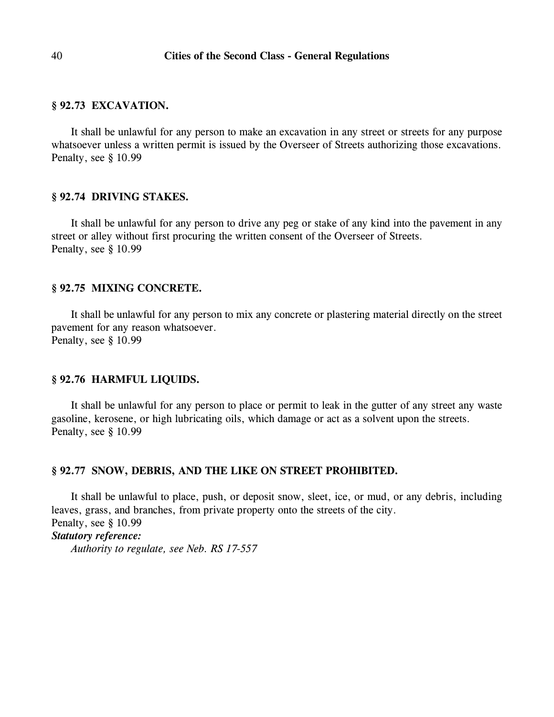### **§ 92.73 EXCAVATION.**

It shall be unlawful for any person to make an excavation in any street or streets for any purpose whatsoever unless a written permit is issued by the Overseer of Streets authorizing those excavations. Penalty, see § 10.99

#### **§ 92.74 DRIVING STAKES.**

It shall be unlawful for any person to drive any peg or stake of any kind into the pavement in any street or alley without first procuring the written consent of the Overseer of Streets. Penalty, see § 10.99

### **§ 92.75 MIXING CONCRETE.**

It shall be unlawful for any person to mix any concrete or plastering material directly on the street pavement for any reason whatsoever. Penalty, see § 10.99

#### **§ 92.76 HARMFUL LIQUIDS.**

It shall be unlawful for any person to place or permit to leak in the gutter of any street any waste gasoline, kerosene, or high lubricating oils, which damage or act as a solvent upon the streets. Penalty, see § 10.99

#### **§ 92.77 SNOW, DEBRIS, AND THE LIKE ON STREET PROHIBITED.**

It shall be unlawful to place, push, or deposit snow, sleet, ice, or mud, or any debris, including leaves, grass, and branches, from private property onto the streets of the city. Penalty, see § 10.99 *Statutory reference: Authority to regulate, see Neb. RS 17-557*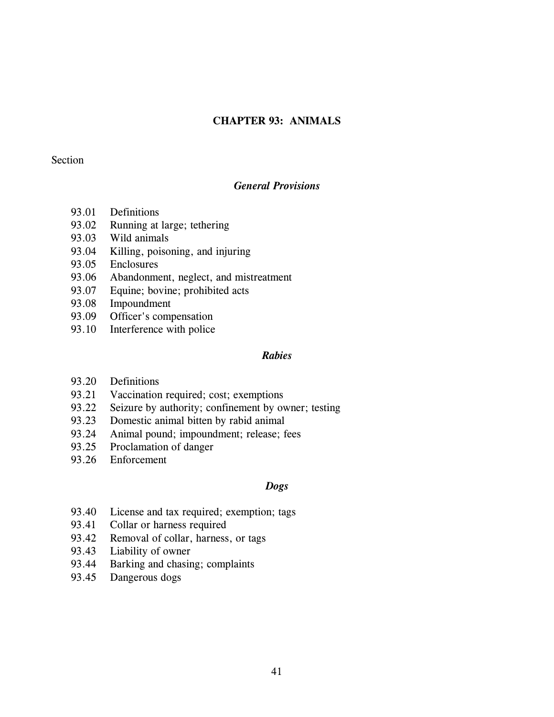# **CHAPTER 93: ANIMALS**

### Section

### *General Provisions*

- 93.01 Definitions
- 93.02 Running at large; tethering
- 93.03 Wild animals
- 93.04 Killing, poisoning, and injuring
- 93.05 Enclosures
- 93.06 Abandonment, neglect, and mistreatment
- 93.07 Equine; bovine; prohibited acts
- 93.08 Impoundment
- 93.09 Officer's compensation
- 93.10 Interference with police

# *Rabies*

- 93.20 Definitions
- 93.21 Vaccination required; cost; exemptions
- 93.22 Seizure by authority; confinement by owner; testing
- 93.23 Domestic animal bitten by rabid animal
- 93.24 Animal pound; impoundment; release; fees
- 93.25 Proclamation of danger
- 93.26 Enforcement

#### *Dogs*

- 93.40 License and tax required; exemption; tags
- 93.41 Collar or harness required
- 93.42 Removal of collar, harness, or tags
- 93.43 Liability of owner
- 93.44 Barking and chasing; complaints
- 93.45 Dangerous dogs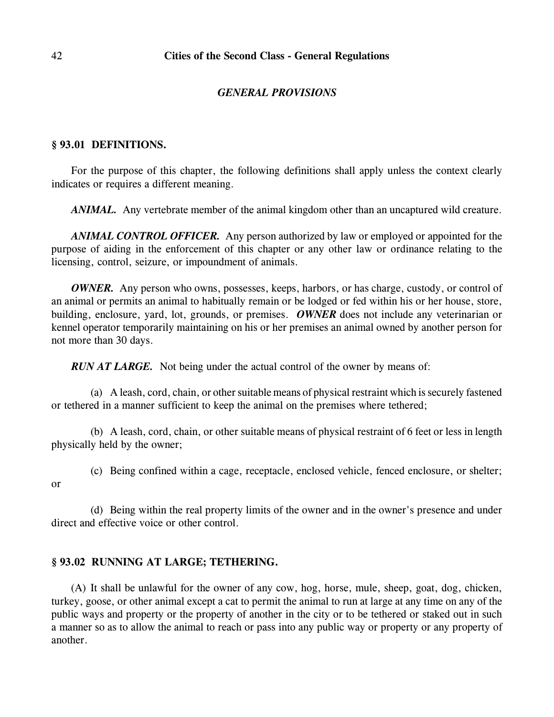### *GENERAL PROVISIONS*

# **§ 93.01 DEFINITIONS.**

For the purpose of this chapter, the following definitions shall apply unless the context clearly indicates or requires a different meaning.

*ANIMAL*. Any vertebrate member of the animal kingdom other than an uncaptured wild creature.

*ANIMAL CONTROL OFFICER.* Any person authorized by law or employed or appointed for the purpose of aiding in the enforcement of this chapter or any other law or ordinance relating to the licensing, control, seizure, or impoundment of animals.

*OWNER.* Any person who owns, possesses, keeps, harbors, or has charge, custody, or control of an animal or permits an animal to habitually remain or be lodged or fed within his or her house, store, building, enclosure, yard, lot, grounds, or premises. *OWNER* does not include any veterinarian or kennel operator temporarily maintaining on his or her premises an animal owned by another person for not more than 30 days.

*RUN AT LARGE.* Not being under the actual control of the owner by means of:

(a) A leash, cord, chain, or other suitable means of physical restraint which is securely fastened or tethered in a manner sufficient to keep the animal on the premises where tethered;

(b) A leash, cord, chain, or other suitable means of physical restraint of 6 feet or less in length physically held by the owner;

(c) Being confined within a cage, receptacle, enclosed vehicle, fenced enclosure, or shelter;

or

(d) Being within the real property limits of the owner and in the owner's presence and under direct and effective voice or other control.

### **§ 93.02 RUNNING AT LARGE; TETHERING.**

(A) It shall be unlawful for the owner of any cow, hog, horse, mule, sheep, goat, dog, chicken, turkey, goose, or other animal except a cat to permit the animal to run at large at any time on any of the public ways and property or the property of another in the city or to be tethered or staked out in such a manner so as to allow the animal to reach or pass into any public way or property or any property of another.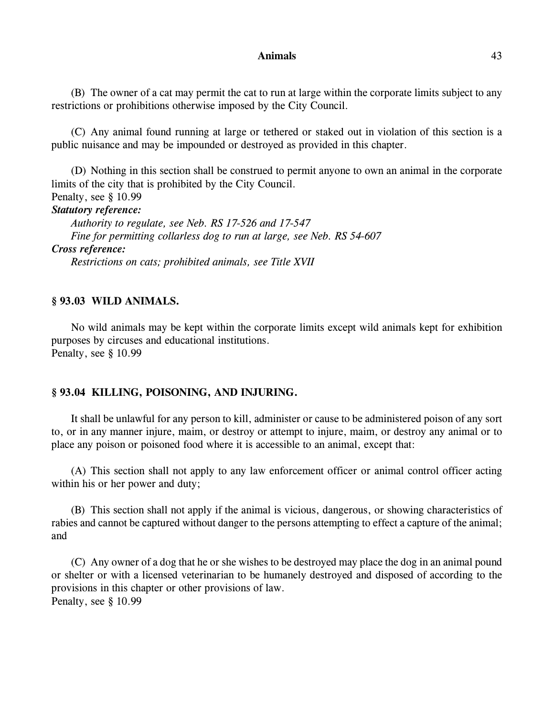#### **Animals** 43

(B) The owner of a cat may permit the cat to run at large within the corporate limits subject to any restrictions or prohibitions otherwise imposed by the City Council.

(C) Any animal found running at large or tethered or staked out in violation of this section is a public nuisance and may be impounded or destroyed as provided in this chapter.

(D) Nothing in this section shall be construed to permit anyone to own an animal in the corporate limits of the city that is prohibited by the City Council. Penalty, see § 10.99 *Statutory reference: Authority to regulate, see Neb. RS 17-526 and 17-547 Fine for permitting collarless dog to run at large, see Neb. RS 54-607 Cross reference: Restrictions on cats; prohibited animals, see Title XVII*

### **§ 93.03 WILD ANIMALS.**

No wild animals may be kept within the corporate limits except wild animals kept for exhibition purposes by circuses and educational institutions. Penalty, see § 10.99

### **§ 93.04 KILLING, POISONING, AND INJURING.**

It shall be unlawful for any person to kill, administer or cause to be administered poison of any sort to, or in any manner injure, maim, or destroy or attempt to injure, maim, or destroy any animal or to place any poison or poisoned food where it is accessible to an animal, except that:

(A) This section shall not apply to any law enforcement officer or animal control officer acting within his or her power and duty;

(B) This section shall not apply if the animal is vicious, dangerous, or showing characteristics of rabies and cannot be captured without danger to the persons attempting to effect a capture of the animal; and

(C) Any owner of a dog that he or she wishes to be destroyed may place the dog in an animal pound or shelter or with a licensed veterinarian to be humanely destroyed and disposed of according to the provisions in this chapter or other provisions of law. Penalty, see § 10.99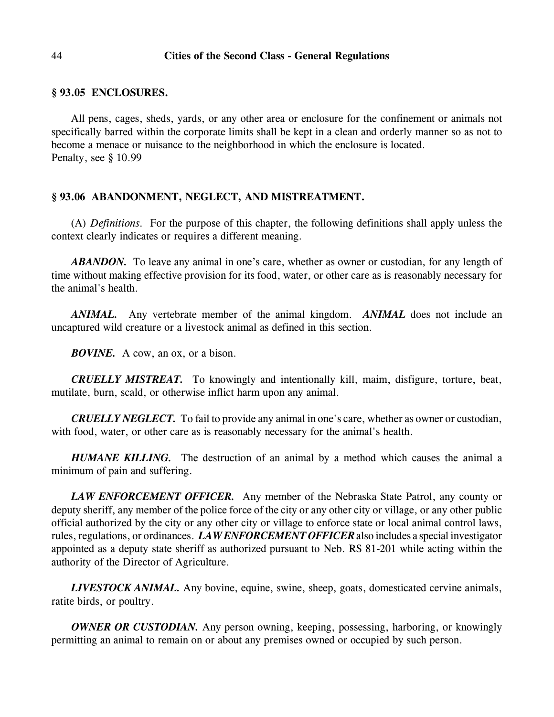#### **§ 93.05 ENCLOSURES.**

All pens, cages, sheds, yards, or any other area or enclosure for the confinement or animals not specifically barred within the corporate limits shall be kept in a clean and orderly manner so as not to become a menace or nuisance to the neighborhood in which the enclosure is located. Penalty, see § 10.99

### **§ 93.06 ABANDONMENT, NEGLECT, AND MISTREATMENT.**

(A) *Definitions.* For the purpose of this chapter, the following definitions shall apply unless the context clearly indicates or requires a different meaning.

*ABANDON.* To leave any animal in one's care, whether as owner or custodian, for any length of time without making effective provision for its food, water, or other care as is reasonably necessary for the animal's health.

*ANIMAL.* Any vertebrate member of the animal kingdom. *ANIMAL* does not include an uncaptured wild creature or a livestock animal as defined in this section.

*BOVINE.* A cow, an ox, or a bison.

*CRUELLY MISTREAT.* To knowingly and intentionally kill, maim, disfigure, torture, beat, mutilate, burn, scald, or otherwise inflict harm upon any animal.

*CRUELLY NEGLECT.* To fail to provide any animal in one's care, whether as owner or custodian, with food, water, or other care as is reasonably necessary for the animal's health.

*HUMANE KILLING.* The destruction of an animal by a method which causes the animal a minimum of pain and suffering.

*LAW ENFORCEMENT OFFICER.* Any member of the Nebraska State Patrol, any county or deputy sheriff, any member of the police force of the city or any other city or village, or any other public official authorized by the city or any other city or village to enforce state or local animal control laws, rules, regulations, or ordinances. *LAW ENFORCEMENT OFFICER*also includes a special investigator appointed as a deputy state sheriff as authorized pursuant to Neb. RS 81-201 while acting within the authority of the Director of Agriculture.

*LIVESTOCK ANIMAL.* Any bovine, equine, swine, sheep, goats, domesticated cervine animals, ratite birds, or poultry.

*OWNER OR CUSTODIAN*. Any person owning, keeping, possessing, harboring, or knowingly permitting an animal to remain on or about any premises owned or occupied by such person.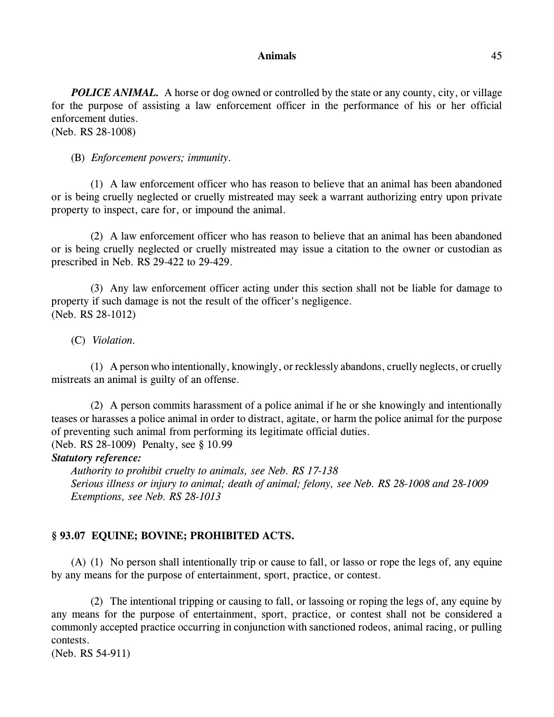#### **Animals** 45

*POLICE ANIMAL.* A horse or dog owned or controlled by the state or any county, city, or village for the purpose of assisting a law enforcement officer in the performance of his or her official enforcement duties. (Neb. RS 28-1008)

(B) *Enforcement powers; immunity.*

(1) A law enforcement officer who has reason to believe that an animal has been abandoned or is being cruelly neglected or cruelly mistreated may seek a warrant authorizing entry upon private property to inspect, care for, or impound the animal.

(2) A law enforcement officer who has reason to believe that an animal has been abandoned or is being cruelly neglected or cruelly mistreated may issue a citation to the owner or custodian as prescribed in Neb. RS 29-422 to 29-429.

(3) Any law enforcement officer acting under this section shall not be liable for damage to property if such damage is not the result of the officer's negligence. (Neb. RS 28-1012)

(C) *Violation.* 

(1) A person who intentionally, knowingly, or recklessly abandons, cruelly neglects, or cruelly mistreats an animal is guilty of an offense.

(2) A person commits harassment of a police animal if he or she knowingly and intentionally teases or harasses a police animal in order to distract, agitate, or harm the police animal for the purpose of preventing such animal from performing its legitimate official duties. (Neb. RS 28-1009) Penalty, see § 10.99

# *Statutory reference:*

*Authority to prohibit cruelty to animals, see Neb. RS 17-138 Serious illness or injury to animal; death of animal; felony, see Neb. RS 28-1008 and 28-1009 Exemptions, see Neb. RS 28-1013*

# **§ 93.07 EQUINE; BOVINE; PROHIBITED ACTS.**

(A) (1) No person shall intentionally trip or cause to fall, or lasso or rope the legs of, any equine by any means for the purpose of entertainment, sport, practice, or contest.

(2) The intentional tripping or causing to fall, or lassoing or roping the legs of, any equine by any means for the purpose of entertainment, sport, practice, or contest shall not be considered a commonly accepted practice occurring in conjunction with sanctioned rodeos, animal racing, or pulling contests.

(Neb. RS 54-911)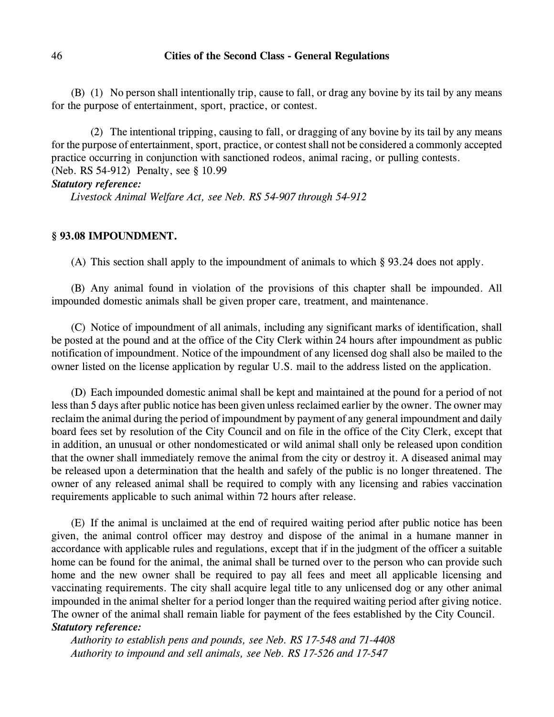(B) (1) No person shall intentionally trip, cause to fall, or drag any bovine by its tail by any means for the purpose of entertainment, sport, practice, or contest.

(2) The intentional tripping, causing to fall, or dragging of any bovine by its tail by any means for the purpose of entertainment, sport, practice, or contest shall not be considered a commonly accepted practice occurring in conjunction with sanctioned rodeos, animal racing, or pulling contests. (Neb. RS 54-912) Penalty, see § 10.99

### *Statutory reference:*

*Livestock Animal Welfare Act, see Neb. RS 54-907 through 54-912*

### **§ 93.08 IMPOUNDMENT.**

(A) This section shall apply to the impoundment of animals to which § 93.24 does not apply.

(B) Any animal found in violation of the provisions of this chapter shall be impounded. All impounded domestic animals shall be given proper care, treatment, and maintenance.

(C) Notice of impoundment of all animals, including any significant marks of identification, shall be posted at the pound and at the office of the City Clerk within 24 hours after impoundment as public notification of impoundment. Notice of the impoundment of any licensed dog shall also be mailed to the owner listed on the license application by regular U.S. mail to the address listed on the application.

(D) Each impounded domestic animal shall be kept and maintained at the pound for a period of not less than 5 days after public notice has been given unless reclaimed earlier by the owner. The owner may reclaim the animal during the period of impoundment by payment of any general impoundment and daily board fees set by resolution of the City Council and on file in the office of the City Clerk, except that in addition, an unusual or other nondomesticated or wild animal shall only be released upon condition that the owner shall immediately remove the animal from the city or destroy it. A diseased animal may be released upon a determination that the health and safely of the public is no longer threatened. The owner of any released animal shall be required to comply with any licensing and rabies vaccination requirements applicable to such animal within 72 hours after release.

(E) If the animal is unclaimed at the end of required waiting period after public notice has been given, the animal control officer may destroy and dispose of the animal in a humane manner in accordance with applicable rules and regulations, except that if in the judgment of the officer a suitable home can be found for the animal, the animal shall be turned over to the person who can provide such home and the new owner shall be required to pay all fees and meet all applicable licensing and vaccinating requirements. The city shall acquire legal title to any unlicensed dog or any other animal impounded in the animal shelter for a period longer than the required waiting period after giving notice. The owner of the animal shall remain liable for payment of the fees established by the City Council. *Statutory reference:*

*Authority to establish pens and pounds, see Neb. RS 17-548 and 71-4408 Authority to impound and sell animals, see Neb. RS 17-526 and 17-547*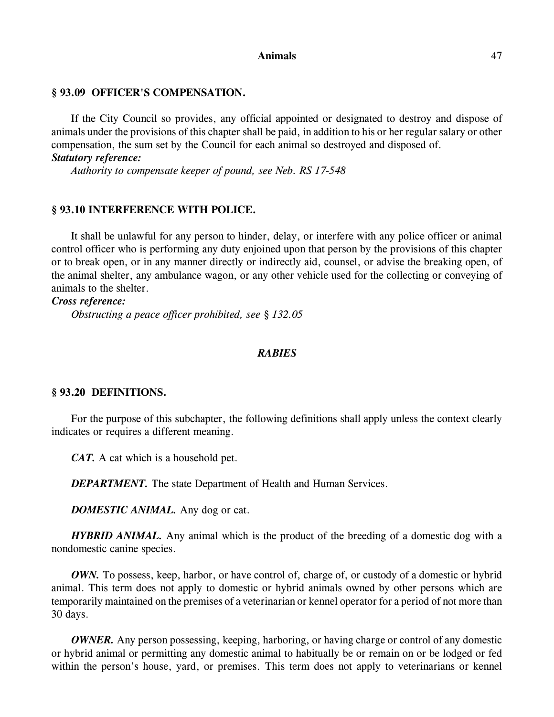#### **Animals** 47

#### **§ 93.09 OFFICER'S COMPENSATION.**

If the City Council so provides, any official appointed or designated to destroy and dispose of animals under the provisions of this chapter shall be paid, in addition to his or her regular salary or other compensation, the sum set by the Council for each animal so destroyed and disposed of. *Statutory reference:*

*Authority to compensate keeper of pound, see Neb. RS 17-548*

### **§ 93.10 INTERFERENCE WITH POLICE.**

It shall be unlawful for any person to hinder, delay, or interfere with any police officer or animal control officer who is performing any duty enjoined upon that person by the provisions of this chapter or to break open, or in any manner directly or indirectly aid, counsel, or advise the breaking open, of the animal shelter, any ambulance wagon, or any other vehicle used for the collecting or conveying of animals to the shelter.

*Cross reference:*

*Obstructing a peace officer prohibited, see § 132.05*

### *RABIES*

#### **§ 93.20 DEFINITIONS.**

For the purpose of this subchapter, the following definitions shall apply unless the context clearly indicates or requires a different meaning.

*CAT.* A cat which is a household pet.

*DEPARTMENT*. The state Department of Health and Human Services.

*DOMESTIC ANIMAL.* Any dog or cat.

*HYBRID ANIMAL*. Any animal which is the product of the breeding of a domestic dog with a nondomestic canine species.

*OWN*. To possess, keep, harbor, or have control of, charge of, or custody of a domestic or hybrid animal. This term does not apply to domestic or hybrid animals owned by other persons which are temporarily maintained on the premises of a veterinarian or kennel operator for a period of not more than 30 days.

*OWNER*. Any person possessing, keeping, harboring, or having charge or control of any domestic or hybrid animal or permitting any domestic animal to habitually be or remain on or be lodged or fed within the person's house, yard, or premises. This term does not apply to veterinarians or kennel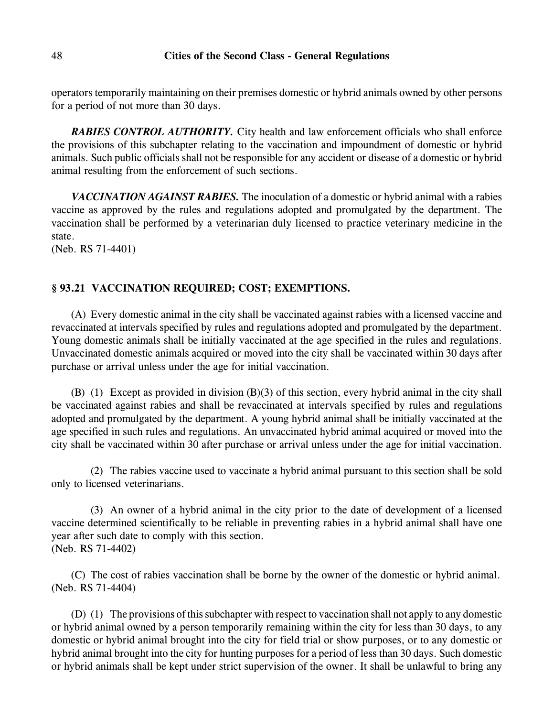operators temporarily maintaining on their premises domestic or hybrid animals owned by other persons for a period of not more than 30 days.

*RABIES CONTROL AUTHORITY.* City health and law enforcement officials who shall enforce the provisions of this subchapter relating to the vaccination and impoundment of domestic or hybrid animals. Such public officials shall not be responsible for any accident or disease of a domestic or hybrid animal resulting from the enforcement of such sections.

*VACCINATION AGAINST RABIES.* The inoculation of a domestic or hybrid animal with a rabies vaccine as approved by the rules and regulations adopted and promulgated by the department. The vaccination shall be performed by a veterinarian duly licensed to practice veterinary medicine in the state.

(Neb. RS 71-4401)

# **§ 93.21 VACCINATION REQUIRED; COST; EXEMPTIONS.**

(A) Every domestic animal in the city shall be vaccinated against rabies with a licensed vaccine and revaccinated at intervals specified by rules and regulations adopted and promulgated by the department. Young domestic animals shall be initially vaccinated at the age specified in the rules and regulations. Unvaccinated domestic animals acquired or moved into the city shall be vaccinated within 30 days after purchase or arrival unless under the age for initial vaccination.

(B) (1) Except as provided in division (B)(3) of this section, every hybrid animal in the city shall be vaccinated against rabies and shall be revaccinated at intervals specified by rules and regulations adopted and promulgated by the department. A young hybrid animal shall be initially vaccinated at the age specified in such rules and regulations. An unvaccinated hybrid animal acquired or moved into the city shall be vaccinated within 30 after purchase or arrival unless under the age for initial vaccination.

(2) The rabies vaccine used to vaccinate a hybrid animal pursuant to this section shall be sold only to licensed veterinarians.

(3) An owner of a hybrid animal in the city prior to the date of development of a licensed vaccine determined scientifically to be reliable in preventing rabies in a hybrid animal shall have one year after such date to comply with this section. (Neb. RS 71-4402)

(C) The cost of rabies vaccination shall be borne by the owner of the domestic or hybrid animal. (Neb. RS 71-4404)

(D) (1) The provisions ofthis subchapter with respect to vaccination shall not apply to any domestic or hybrid animal owned by a person temporarily remaining within the city for less than 30 days, to any domestic or hybrid animal brought into the city for field trial or show purposes, or to any domestic or hybrid animal brought into the city for hunting purposes for a period of less than 30 days. Such domestic or hybrid animals shall be kept under strict supervision of the owner. It shall be unlawful to bring any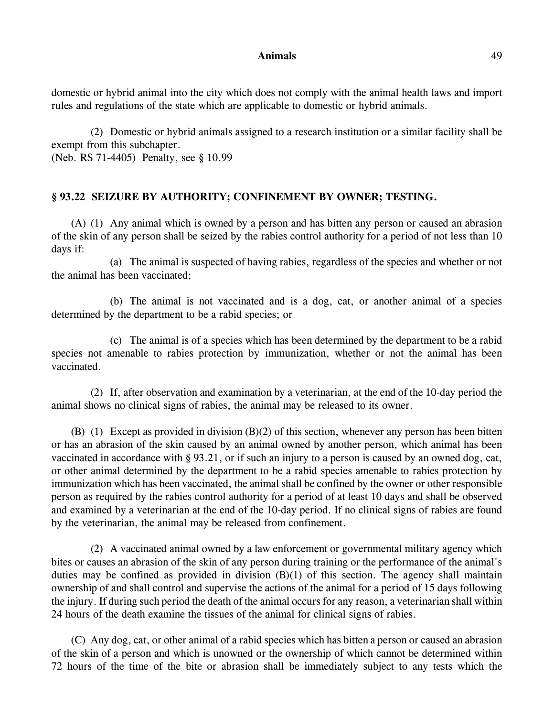#### **Animals** 49

domestic or hybrid animal into the city which does not comply with the animal health laws and import rules and regulations of the state which are applicable to domestic or hybrid animals.

(2) Domestic or hybrid animals assigned to a research institution or a similar facility shall be exempt from this subchapter. (Neb. RS 71-4405) Penalty, see § 10.99

# **§ 93.22 SEIZURE BY AUTHORITY; CONFINEMENT BY OWNER; TESTING.**

(A) (1) Any animal which is owned by a person and has bitten any person or caused an abrasion of the skin of any person shall be seized by the rabies control authority for a period of not less than 10 days if:

(a) The animal is suspected of having rabies, regardless of the species and whether or not the animal has been vaccinated;

(b) The animal is not vaccinated and is a dog, cat, or another animal of a species determined by the department to be a rabid species; or

(c) The animal is of a species which has been determined by the department to be a rabid species not amenable to rabies protection by immunization, whether or not the animal has been vaccinated.

(2) If, after observation and examination by a veterinarian, at the end of the 10-day period the animal shows no clinical signs of rabies, the animal may be released to its owner.

(B) (1) Except as provided in division (B)(2) of this section, whenever any person has been bitten or has an abrasion of the skin caused by an animal owned by another person, which animal has been vaccinated in accordance with § 93.21, or if such an injury to a person is caused by an owned dog, cat, or other animal determined by the department to be a rabid species amenable to rabies protection by immunization which has been vaccinated, the animal shall be confined by the owner or other responsible person as required by the rabies control authority for a period of at least 10 days and shall be observed and examined by a veterinarian at the end of the 10-day period. If no clinical signs of rabies are found by the veterinarian, the animal may be released from confinement.

(2) A vaccinated animal owned by a law enforcement or governmental military agency which bites or causes an abrasion of the skin of any person during training or the performance of the animal's duties may be confined as provided in division (B)(1) of this section. The agency shall maintain ownership of and shall control and supervise the actions of the animal for a period of 15 days following the injury. If during such period the death of the animal occurs for any reason, a veterinarian shall within 24 hours of the death examine the tissues of the animal for clinical signs of rabies.

(C) Any dog, cat, or other animal of a rabid species which has bitten a person or caused an abrasion of the skin of a person and which is unowned or the ownership of which cannot be determined within 72 hours of the time of the bite or abrasion shall be immediately subject to any tests which the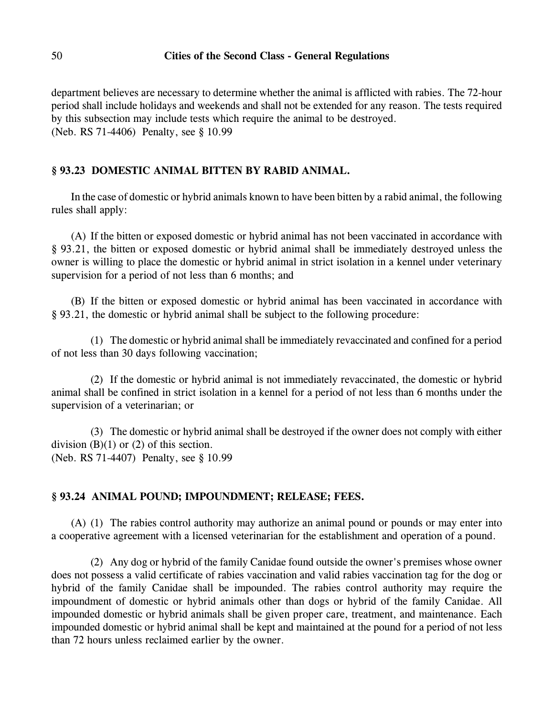department believes are necessary to determine whether the animal is afflicted with rabies. The 72-hour period shall include holidays and weekends and shall not be extended for any reason. The tests required by this subsection may include tests which require the animal to be destroyed. (Neb. RS 71-4406) Penalty, see § 10.99

# **§ 93.23 DOMESTIC ANIMAL BITTEN BY RABID ANIMAL.**

In the case of domestic or hybrid animals known to have been bitten by a rabid animal, the following rules shall apply:

(A) If the bitten or exposed domestic or hybrid animal has not been vaccinated in accordance with § 93.21, the bitten or exposed domestic or hybrid animal shall be immediately destroyed unless the owner is willing to place the domestic or hybrid animal in strict isolation in a kennel under veterinary supervision for a period of not less than 6 months; and

(B) If the bitten or exposed domestic or hybrid animal has been vaccinated in accordance with § 93.21, the domestic or hybrid animal shall be subject to the following procedure:

(1) The domestic or hybrid animal shall be immediately revaccinated and confined for a period of not less than 30 days following vaccination;

(2) If the domestic or hybrid animal is not immediately revaccinated, the domestic or hybrid animal shall be confined in strict isolation in a kennel for a period of not less than 6 months under the supervision of a veterinarian; or

(3) The domestic or hybrid animal shall be destroyed if the owner does not comply with either division  $(B)(1)$  or  $(2)$  of this section. (Neb. RS 71-4407) Penalty, see § 10.99

### **§ 93.24 ANIMAL POUND; IMPOUNDMENT; RELEASE; FEES.**

(A) (1) The rabies control authority may authorize an animal pound or pounds or may enter into a cooperative agreement with a licensed veterinarian for the establishment and operation of a pound.

(2) Any dog or hybrid of the family Canidae found outside the owner's premises whose owner does not possess a valid certificate of rabies vaccination and valid rabies vaccination tag for the dog or hybrid of the family Canidae shall be impounded. The rabies control authority may require the impoundment of domestic or hybrid animals other than dogs or hybrid of the family Canidae. All impounded domestic or hybrid animals shall be given proper care, treatment, and maintenance. Each impounded domestic or hybrid animal shall be kept and maintained at the pound for a period of not less than 72 hours unless reclaimed earlier by the owner.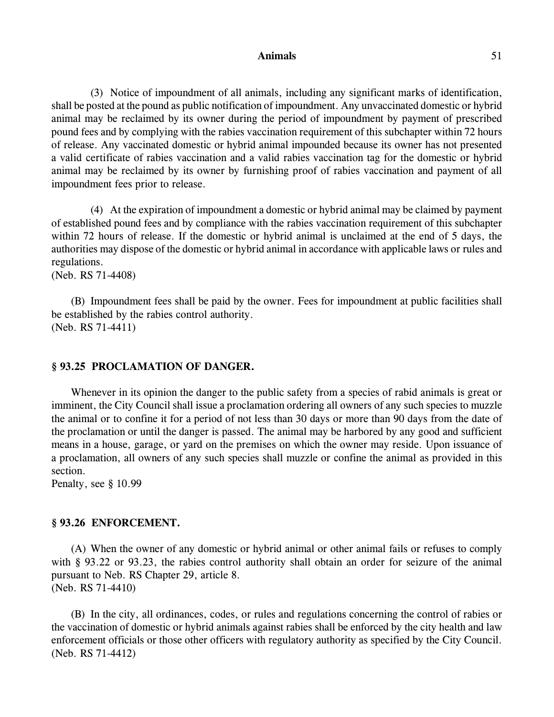#### Animals 51

(3) Notice of impoundment of all animals, including any significant marks of identification, shall be posted at the pound as public notification of impoundment. Any unvaccinated domestic or hybrid animal may be reclaimed by its owner during the period of impoundment by payment of prescribed pound fees and by complying with the rabies vaccination requirement of this subchapter within 72 hours of release. Any vaccinated domestic or hybrid animal impounded because its owner has not presented a valid certificate of rabies vaccination and a valid rabies vaccination tag for the domestic or hybrid animal may be reclaimed by its owner by furnishing proof of rabies vaccination and payment of all impoundment fees prior to release.

(4) At the expiration of impoundment a domestic or hybrid animal may be claimed by payment of established pound fees and by compliance with the rabies vaccination requirement of this subchapter within 72 hours of release. If the domestic or hybrid animal is unclaimed at the end of 5 days, the authorities may dispose of the domestic or hybrid animal in accordance with applicable laws or rules and regulations.

(Neb. RS 71-4408)

(B) Impoundment fees shall be paid by the owner. Fees for impoundment at public facilities shall be established by the rabies control authority. (Neb. RS 71-4411)

#### **§ 93.25 PROCLAMATION OF DANGER.**

Whenever in its opinion the danger to the public safety from a species of rabid animals is great or imminent, the City Council shall issue a proclamation ordering all owners of any such species to muzzle the animal or to confine it for a period of not less than 30 days or more than 90 days from the date of the proclamation or until the danger is passed. The animal may be harbored by any good and sufficient means in a house, garage, or yard on the premises on which the owner may reside. Upon issuance of a proclamation, all owners of any such species shall muzzle or confine the animal as provided in this section.

Penalty, see § 10.99

### **§ 93.26 ENFORCEMENT.**

(A) When the owner of any domestic or hybrid animal or other animal fails or refuses to comply with § 93.22 or 93.23, the rabies control authority shall obtain an order for seizure of the animal pursuant to Neb. RS Chapter 29, article 8. (Neb. RS 71-4410)

(B) In the city, all ordinances, codes, or rules and regulations concerning the control of rabies or the vaccination of domestic or hybrid animals against rabies shall be enforced by the city health and law enforcement officials or those other officers with regulatory authority as specified by the City Council. (Neb. RS 71-4412)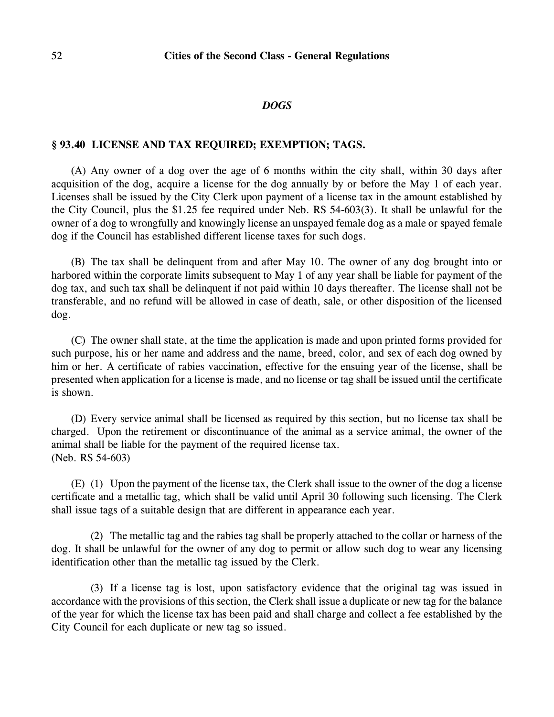#### *DOGS*

### **§ 93.40 LICENSE AND TAX REQUIRED; EXEMPTION; TAGS.**

(A) Any owner of a dog over the age of 6 months within the city shall, within 30 days after acquisition of the dog, acquire a license for the dog annually by or before the May 1 of each year. Licenses shall be issued by the City Clerk upon payment of a license tax in the amount established by the City Council, plus the \$1.25 fee required under Neb. RS 54-603(3). It shall be unlawful for the owner of a dog to wrongfully and knowingly license an unspayed female dog as a male or spayed female dog if the Council has established different license taxes for such dogs.

(B) The tax shall be delinquent from and after May 10. The owner of any dog brought into or harbored within the corporate limits subsequent to May 1 of any year shall be liable for payment of the dog tax, and such tax shall be delinquent if not paid within 10 days thereafter. The license shall not be transferable, and no refund will be allowed in case of death, sale, or other disposition of the licensed dog.

(C) The owner shall state, at the time the application is made and upon printed forms provided for such purpose, his or her name and address and the name, breed, color, and sex of each dog owned by him or her. A certificate of rabies vaccination, effective for the ensuing year of the license, shall be presented when application for a license is made, and no license or tag shall be issued until the certificate is shown.

(D) Every service animal shall be licensed as required by this section, but no license tax shall be charged. Upon the retirement or discontinuance of the animal as a service animal, the owner of the animal shall be liable for the payment of the required license tax. (Neb. RS 54-603)

(E) (1) Upon the payment of the license tax, the Clerk shall issue to the owner of the dog a license certificate and a metallic tag, which shall be valid until April 30 following such licensing. The Clerk shall issue tags of a suitable design that are different in appearance each year.

(2) The metallic tag and the rabies tag shall be properly attached to the collar or harness of the dog. It shall be unlawful for the owner of any dog to permit or allow such dog to wear any licensing identification other than the metallic tag issued by the Clerk.

(3) If a license tag is lost, upon satisfactory evidence that the original tag was issued in accordance with the provisions of this section, the Clerk shall issue a duplicate or new tag for the balance of the year for which the license tax has been paid and shall charge and collect a fee established by the City Council for each duplicate or new tag so issued.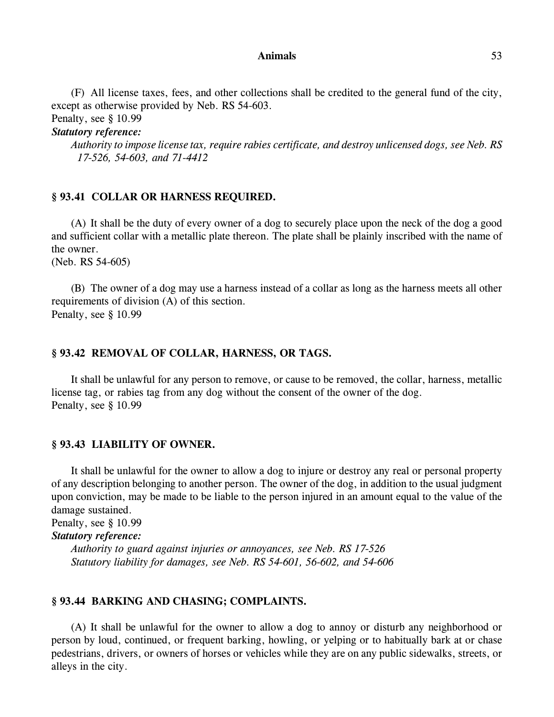#### **Animals** 53

(F) All license taxes, fees, and other collections shall be credited to the general fund of the city, except as otherwise provided by Neb. RS 54-603.

Penalty, see § 10.99

*Statutory reference:*

*Authority to impose license tax, require rabies certificate, and destroy unlicensed dogs, see Neb. RS 17-526, 54-603, and 71-4412*

### **§ 93.41 COLLAR OR HARNESS REQUIRED.**

(A) It shall be the duty of every owner of a dog to securely place upon the neck of the dog a good and sufficient collar with a metallic plate thereon. The plate shall be plainly inscribed with the name of the owner.

(Neb. RS 54-605)

(B) The owner of a dog may use a harness instead of a collar as long as the harness meets all other requirements of division (A) of this section. Penalty, see § 10.99

### **§ 93.42 REMOVAL OF COLLAR, HARNESS, OR TAGS.**

It shall be unlawful for any person to remove, or cause to be removed, the collar, harness, metallic license tag, or rabies tag from any dog without the consent of the owner of the dog. Penalty, see § 10.99

### **§ 93.43 LIABILITY OF OWNER.**

It shall be unlawful for the owner to allow a dog to injure or destroy any real or personal property of any description belonging to another person. The owner of the dog, in addition to the usual judgment upon conviction, may be made to be liable to the person injured in an amount equal to the value of the damage sustained.

Penalty, see § 10.99

*Statutory reference:*

*Authority to guard against injuries or annoyances, see Neb. RS 17-526 Statutory liability for damages, see Neb. RS 54-601, 56-602, and 54-606*

### **§ 93.44 BARKING AND CHASING; COMPLAINTS.**

(A) It shall be unlawful for the owner to allow a dog to annoy or disturb any neighborhood or person by loud, continued, or frequent barking, howling, or yelping or to habitually bark at or chase pedestrians, drivers, or owners of horses or vehicles while they are on any public sidewalks, streets, or alleys in the city.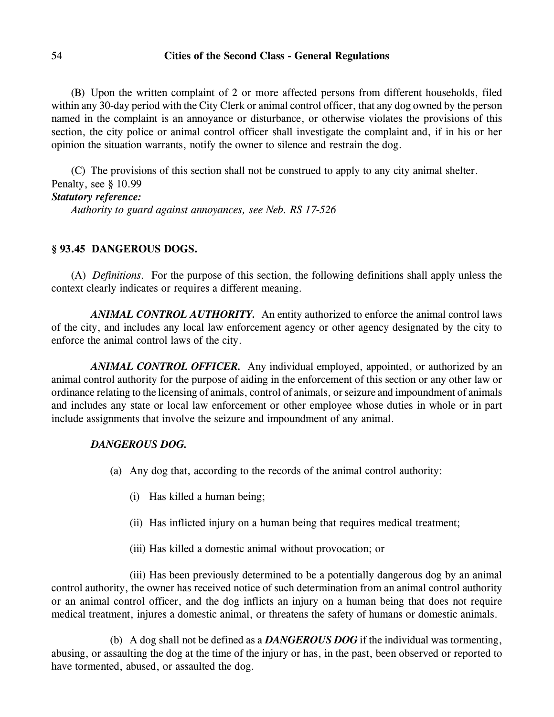(B) Upon the written complaint of 2 or more affected persons from different households, filed within any 30-day period with the City Clerk or animal control officer, that any dog owned by the person named in the complaint is an annoyance or disturbance, or otherwise violates the provisions of this section, the city police or animal control officer shall investigate the complaint and, if in his or her opinion the situation warrants, notify the owner to silence and restrain the dog.

(C) The provisions of this section shall not be construed to apply to any city animal shelter. Penalty, see § 10.99 *Statutory reference: Authority to guard against annoyances, see Neb. RS 17-526*

# **§ 93.45 DANGEROUS DOGS.**

(A) *Definitions.* For the purpose of this section, the following definitions shall apply unless the context clearly indicates or requires a different meaning.

*ANIMAL CONTROL AUTHORITY.* An entity authorized to enforce the animal control laws of the city, and includes any local law enforcement agency or other agency designated by the city to enforce the animal control laws of the city.

*ANIMAL CONTROL OFFICER.* Any individual employed, appointed, or authorized by an animal control authority for the purpose of aiding in the enforcement of this section or any other law or ordinance relating to the licensing of animals, control of animals, or seizure and impoundment of animals and includes any state or local law enforcement or other employee whose duties in whole or in part include assignments that involve the seizure and impoundment of any animal.

# *DANGEROUS DOG.*

- (a) Any dog that, according to the records of the animal control authority:
	- (i) Has killed a human being;
	- (ii) Has inflicted injury on a human being that requires medical treatment;
	- (iii) Has killed a domestic animal without provocation; or

(iii) Has been previously determined to be a potentially dangerous dog by an animal control authority, the owner has received notice of such determination from an animal control authority or an animal control officer, and the dog inflicts an injury on a human being that does not require medical treatment, injures a domestic animal, or threatens the safety of humans or domestic animals.

(b) A dog shall not be defined as a *DANGEROUS DOG* if the individual was tormenting, abusing, or assaulting the dog at the time of the injury or has, in the past, been observed or reported to have tormented, abused, or assaulted the dog.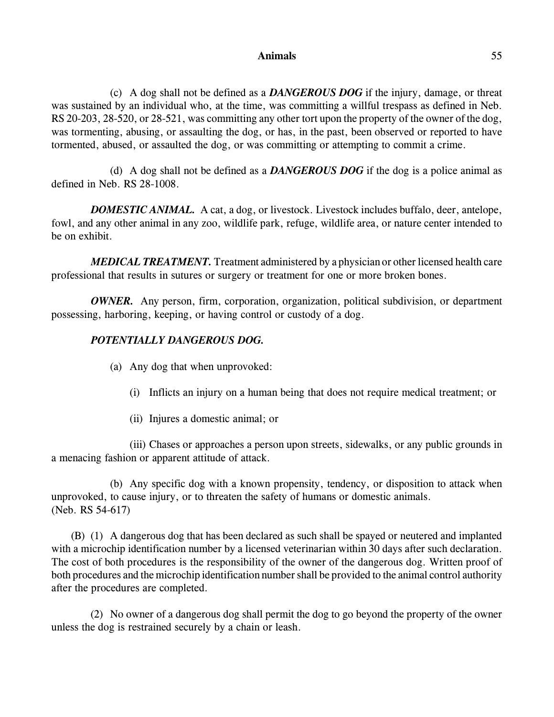#### **Animals** 55

(c) A dog shall not be defined as a *DANGEROUS DOG* if the injury, damage, or threat was sustained by an individual who, at the time, was committing a willful trespass as defined in Neb. RS 20-203, 28-520, or 28-521, was committing any other tort upon the property of the owner of the dog, was tormenting, abusing, or assaulting the dog, or has, in the past, been observed or reported to have tormented, abused, or assaulted the dog, or was committing or attempting to commit a crime.

(d) A dog shall not be defined as a *DANGEROUS DOG* if the dog is a police animal as defined in Neb. RS 28-1008.

*DOMESTIC ANIMAL.* A cat, a dog, or livestock. Livestock includes buffalo, deer, antelope, fowl, and any other animal in any zoo, wildlife park, refuge, wildlife area, or nature center intended to be on exhibit.

*MEDICAL TREATMENT.* Treatment administered by a physician or other licensed health care professional that results in sutures or surgery or treatment for one or more broken bones.

*OWNER.* Any person, firm, corporation, organization, political subdivision, or department possessing, harboring, keeping, or having control or custody of a dog.

# *POTENTIALLY DANGEROUS DOG.*

- (a) Any dog that when unprovoked:
	- (i) Inflicts an injury on a human being that does not require medical treatment; or
	- (ii) Injures a domestic animal; or

(iii) Chases or approaches a person upon streets, sidewalks, or any public grounds in a menacing fashion or apparent attitude of attack.

(b) Any specific dog with a known propensity, tendency, or disposition to attack when unprovoked, to cause injury, or to threaten the safety of humans or domestic animals. (Neb. RS 54-617)

(B) (1) A dangerous dog that has been declared as such shall be spayed or neutered and implanted with a microchip identification number by a licensed veterinarian within 30 days after such declaration. The cost of both procedures is the responsibility of the owner of the dangerous dog. Written proof of both procedures and the microchip identification number shall be provided to the animal control authority after the procedures are completed.

(2) No owner of a dangerous dog shall permit the dog to go beyond the property of the owner unless the dog is restrained securely by a chain or leash.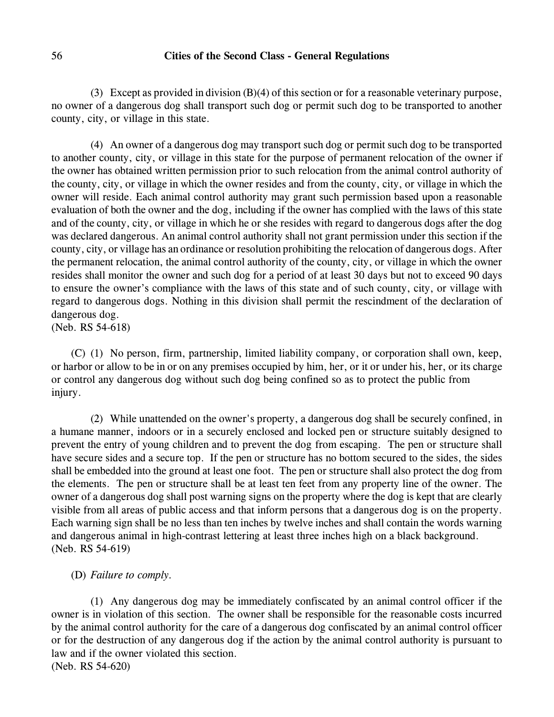(3) Except as provided in division (B)(4) of this section or for a reasonable veterinary purpose, no owner of a dangerous dog shall transport such dog or permit such dog to be transported to another county, city, or village in this state.

(4) An owner of a dangerous dog may transport such dog or permit such dog to be transported to another county, city, or village in this state for the purpose of permanent relocation of the owner if the owner has obtained written permission prior to such relocation from the animal control authority of the county, city, or village in which the owner resides and from the county, city, or village in which the owner will reside. Each animal control authority may grant such permission based upon a reasonable evaluation of both the owner and the dog, including if the owner has complied with the laws of this state and of the county, city, or village in which he or she resides with regard to dangerous dogs after the dog was declared dangerous. An animal control authority shall not grant permission under this section if the county, city, or village has an ordinance or resolution prohibiting the relocation of dangerous dogs. After the permanent relocation, the animal control authority of the county, city, or village in which the owner resides shall monitor the owner and such dog for a period of at least 30 days but not to exceed 90 days to ensure the owner's compliance with the laws of this state and of such county, city, or village with regard to dangerous dogs. Nothing in this division shall permit the rescindment of the declaration of dangerous dog.

(Neb. RS 54-618)

(C) (1) No person, firm, partnership, limited liability company, or corporation shall own, keep, or harbor or allow to be in or on any premises occupied by him, her, or it or under his, her, or its charge or control any dangerous dog without such dog being confined so as to protect the public from injury.

(2) While unattended on the owner's property, a dangerous dog shall be securely confined, in a humane manner, indoors or in a securely enclosed and locked pen or structure suitably designed to prevent the entry of young children and to prevent the dog from escaping. The pen or structure shall have secure sides and a secure top. If the pen or structure has no bottom secured to the sides, the sides shall be embedded into the ground at least one foot. The pen or structure shall also protect the dog from the elements. The pen or structure shall be at least ten feet from any property line of the owner. The owner of a dangerous dog shall post warning signs on the property where the dog is kept that are clearly visible from all areas of public access and that inform persons that a dangerous dog is on the property. Each warning sign shall be no less than ten inches by twelve inches and shall contain the words warning and dangerous animal in high-contrast lettering at least three inches high on a black background. (Neb. RS 54-619)

# (D) *Failure to comply.*

(1) Any dangerous dog may be immediately confiscated by an animal control officer if the owner is in violation of this section. The owner shall be responsible for the reasonable costs incurred by the animal control authority for the care of a dangerous dog confiscated by an animal control officer or for the destruction of any dangerous dog if the action by the animal control authority is pursuant to law and if the owner violated this section. (Neb. RS 54-620)